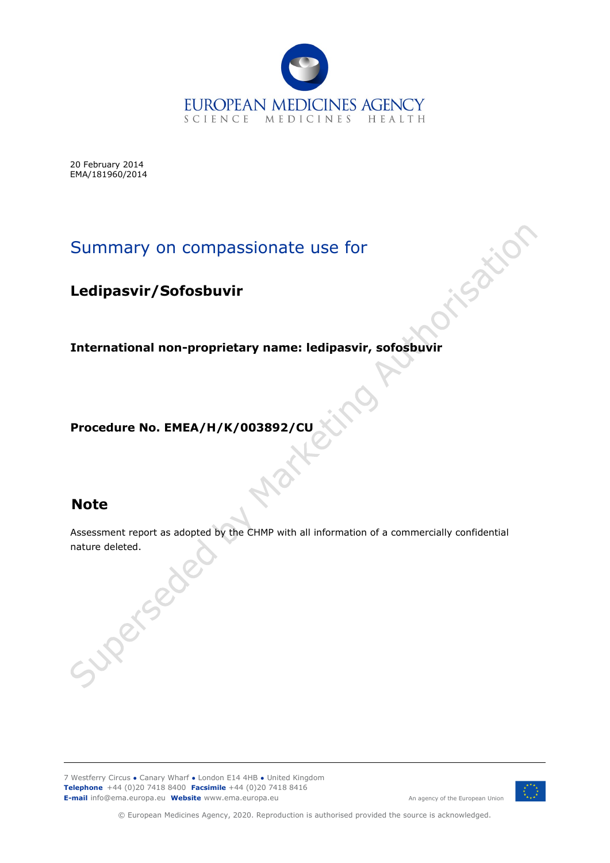

20 February 2014 EMA/181960/2014

# Summary on compassionate use for

# **Ledipasvir/Sofosbuvir**

**International non-proprietary name: ledipasvir, sofosbuvir**

**Procedure No. EMEA/H/K/003892/CU**

# **Note**

Assessment report as adopted by the CHMP with all information of a commercially confidential nature deleted.<br>Superfolio

7 Westferry Circus **●** Canary Wharf **●** London E14 4HB **●** United Kingdom **Telephone** +44 (0)20 7418 8400 **Facsimile** +44 (0)20 7418 8416 **E-mail** info@ema.europa.eu **Website** www.ema.europa.eu



An agency of the European Union

isatic

© European Medicines Agency, 2020. Reproduction is authorised provided the source is acknowledged.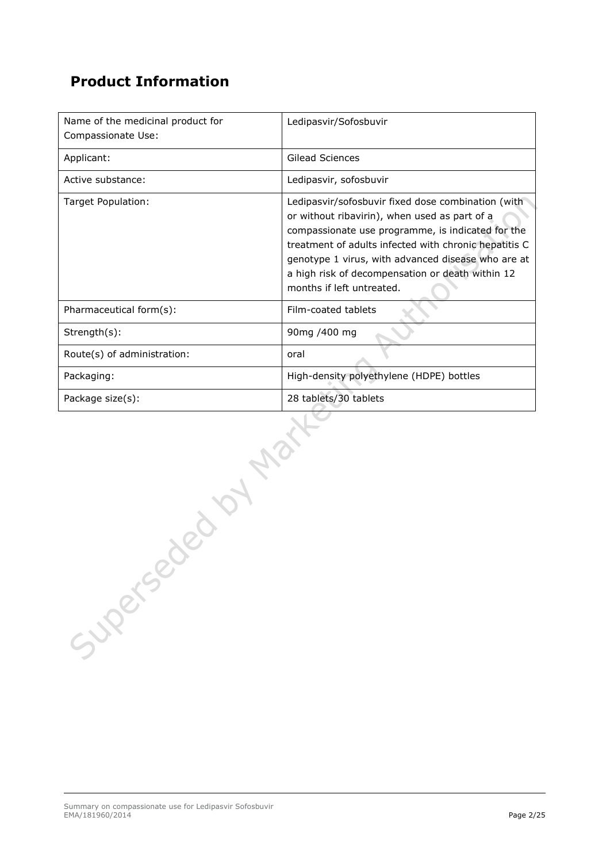# **Product Information**

| Name of the medicinal product for<br>Compassionate Use: | Ledipasvir/Sofosbuvir                                                                                                                                                                                                                                                                                                                                    |
|---------------------------------------------------------|----------------------------------------------------------------------------------------------------------------------------------------------------------------------------------------------------------------------------------------------------------------------------------------------------------------------------------------------------------|
| Applicant:                                              | Gilead Sciences                                                                                                                                                                                                                                                                                                                                          |
| Active substance:                                       | Ledipasvir, sofosbuvir                                                                                                                                                                                                                                                                                                                                   |
| Target Population:                                      | Ledipasvir/sofosbuvir fixed dose combination (with<br>or without ribavirin), when used as part of a<br>compassionate use programme, is indicated for the<br>treatment of adults infected with chronic hepatitis C<br>genotype 1 virus, with advanced disease who are at<br>a high risk of decompensation or death within 12<br>months if left untreated. |
| Pharmaceutical form(s):                                 | Film-coated tablets                                                                                                                                                                                                                                                                                                                                      |
| Strength(s):                                            | 90mg /400 mg                                                                                                                                                                                                                                                                                                                                             |
| Route(s) of administration:                             | oral                                                                                                                                                                                                                                                                                                                                                     |
| Packaging:                                              | High-density polyethylene (HDPE) bottles                                                                                                                                                                                                                                                                                                                 |
| Package size(s):                                        | 28 tablets/30 tablets                                                                                                                                                                                                                                                                                                                                    |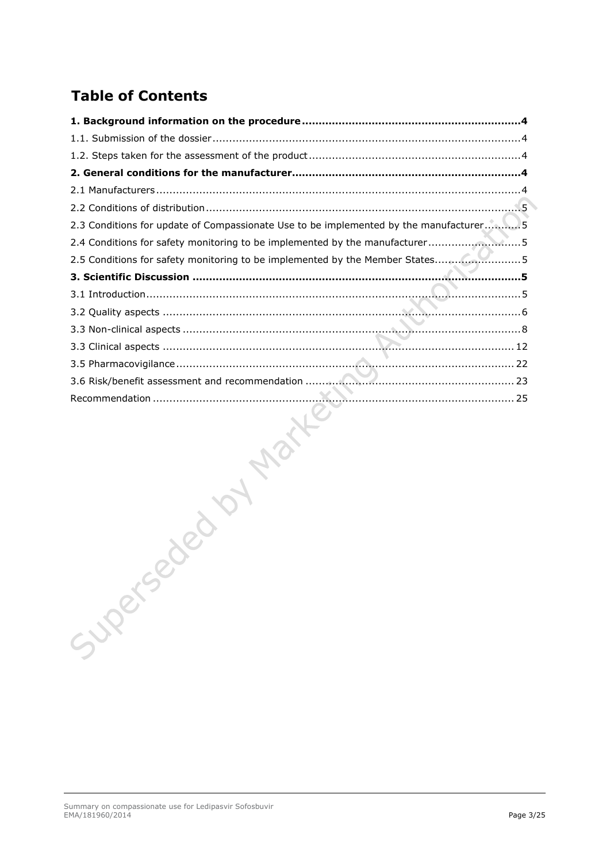# **Table of Contents**

| 2.3 Conditions for update of Compassionate Use to be implemented by the manufacturer5 |
|---------------------------------------------------------------------------------------|
| 2.4 Conditions for safety monitoring to be implemented by the manufacturer5           |
| 2.5 Conditions for safety monitoring to be implemented by the Member States5          |
|                                                                                       |
|                                                                                       |
|                                                                                       |
|                                                                                       |
|                                                                                       |
|                                                                                       |
|                                                                                       |
|                                                                                       |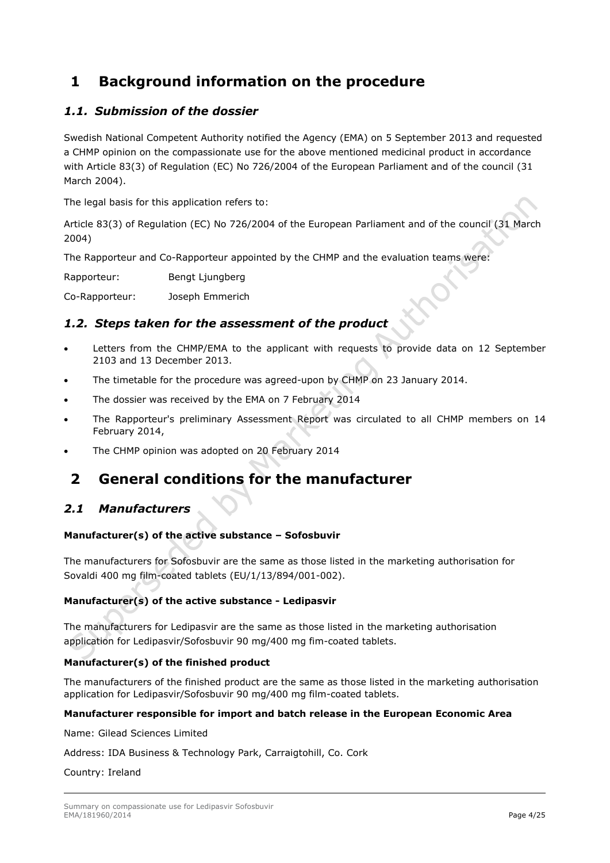# <span id="page-3-0"></span>**1 Background information on the procedure**

## <span id="page-3-1"></span>*1.1. Submission of the dossier*

Swedish National Competent Authority notified the Agency (EMA) on 5 September 2013 and requested a CHMP opinion on the compassionate use for the above mentioned medicinal product in accordance with Article 83(3) of Regulation (EC) No 726/2004 of the European Parliament and of the council (31 March 2004).

The legal basis for this application refers to:

Article 83(3) of Regulation (EC) No 726/2004 of the European Parliament and of the council (31 March 2004)

The Rapporteur and Co-Rapporteur appointed by the CHMP and the evaluation teams were:

Rapporteur: Bengt Ljungberg

Co-Rapporteur: Joseph Emmerich

## <span id="page-3-2"></span>*1.2. Steps taken for the assessment of the product*

- Letters from the CHMP/EMA to the applicant with requests to provide data on 12 September 2103 and 13 December 2013.
- The timetable for the procedure was agreed-upon by CHMP on 23 January 2014.
- The dossier was received by the EMA on 7 February 2014
- The Rapporteur's preliminary Assessment Report was circulated to all CHMP members on 14 February 2014,
- The CHMP opinion was adopted on 20 February 2014

# <span id="page-3-4"></span><span id="page-3-3"></span>**2 General conditions for the manufacturer**

## *2.1 Manufacturers*

## **Manufacturer(s) of the active substance – Sofosbuvir**

The manufacturers for Sofosbuvir are the same as those listed in the marketing authorisation for Sovaldi 400 mg film-coated tablets (EU/1/13/894/001-002).

## **Manufacturer(s) of the active substance - Ledipasvir**

The manufacturers for Ledipasvir are the same as those listed in the marketing authorisation application for Ledipasvir/Sofosbuvir 90 mg/400 mg fim-coated tablets.

## **Manufacturer(s) of the finished product**

The manufacturers of the finished product are the same as those listed in the marketing authorisation application for Ledipasvir/Sofosbuvir 90 mg/400 mg film-coated tablets.

## **Manufacturer responsible for import and batch release in the European Economic Area**

Name: Gilead Sciences Limited

Address: IDA Business & Technology Park, Carraigtohill, Co. Cork

#### Country: Ireland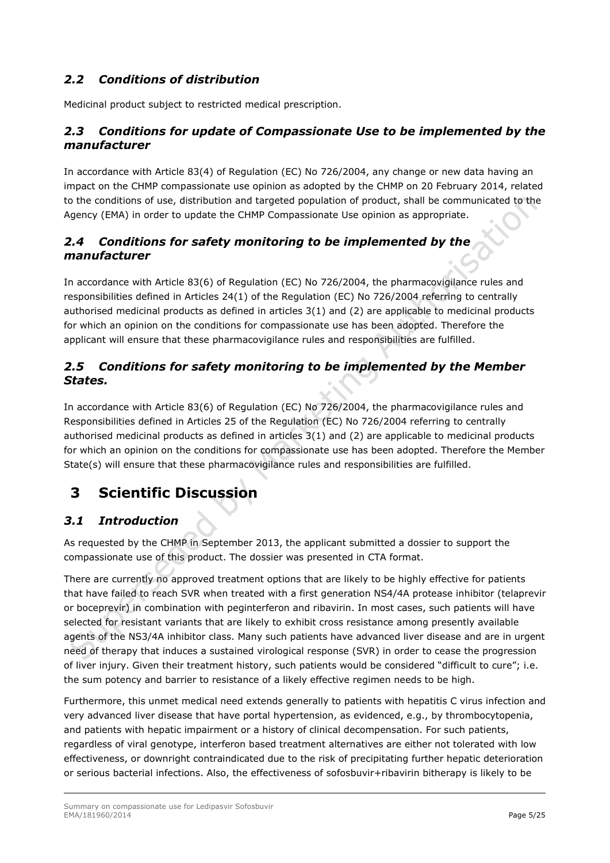# <span id="page-4-0"></span>*2.2 Conditions of distribution*

Medicinal product subject to restricted medical prescription.

## <span id="page-4-1"></span>*2.3 Conditions for update of Compassionate Use to be implemented by the manufacturer*

In accordance with Article 83(4) of Regulation (EC) No 726/2004, any change or new data having an impact on the CHMP compassionate use opinion as adopted by the CHMP on 20 February 2014, related to the conditions of use, distribution and targeted population of product, shall be communicated to the Agency (EMA) in order to update the CHMP Compassionate Use opinion as appropriate.

## <span id="page-4-2"></span>*2.4 Conditions for safety monitoring to be implemented by the manufacturer*

In accordance with Article 83(6) of Regulation (EC) No 726/2004, the pharmacovigilance rules and responsibilities defined in Articles 24(1) of the Regulation (EC) No 726/2004 referring to centrally authorised medicinal products as defined in articles 3(1) and (2) are applicable to medicinal products for which an opinion on the conditions for compassionate use has been adopted. Therefore the applicant will ensure that these pharmacovigilance rules and responsibilities are fulfilled.

## <span id="page-4-3"></span>*2.5 Conditions for safety monitoring to be implemented by the Member States.*

In accordance with Article 83(6) of Regulation (EC) No 726/2004, the pharmacovigilance rules and Responsibilities defined in Articles 25 of the Regulation (EC) No 726/2004 referring to centrally authorised medicinal products as defined in articles 3(1) and (2) are applicable to medicinal products for which an opinion on the conditions for compassionate use has been adopted. Therefore the Member State(s) will ensure that these pharmacovigilance rules and responsibilities are fulfilled.

# <span id="page-4-4"></span>**3 Scientific Discussion**

## <span id="page-4-5"></span>*3.1 Introduction*

As requested by the CHMP in September 2013, the applicant submitted a dossier to support the compassionate use of this product. The dossier was presented in CTA format.

There are currently no approved treatment options that are likely to be highly effective for patients that have failed to reach SVR when treated with a first generation NS4/4A protease inhibitor (telaprevir or boceprevir) in combination with peginterferon and ribavirin. In most cases, such patients will have selected for resistant variants that are likely to exhibit cross resistance among presently available agents of the NS3/4A inhibitor class. Many such patients have advanced liver disease and are in urgent need of therapy that induces a sustained virological response (SVR) in order to cease the progression of liver injury. Given their treatment history, such patients would be considered "difficult to cure"; i.e. the sum potency and barrier to resistance of a likely effective regimen needs to be high.

Furthermore, this unmet medical need extends generally to patients with hepatitis C virus infection and very advanced liver disease that have portal hypertension, as evidenced, e.g., by thrombocytopenia, and patients with hepatic impairment or a history of clinical decompensation. For such patients, regardless of viral genotype, interferon based treatment alternatives are either not tolerated with low effectiveness, or downright contraindicated due to the risk of precipitating further hepatic deterioration or serious bacterial infections. Also, the effectiveness of sofosbuvir+ribavirin bitherapy is likely to be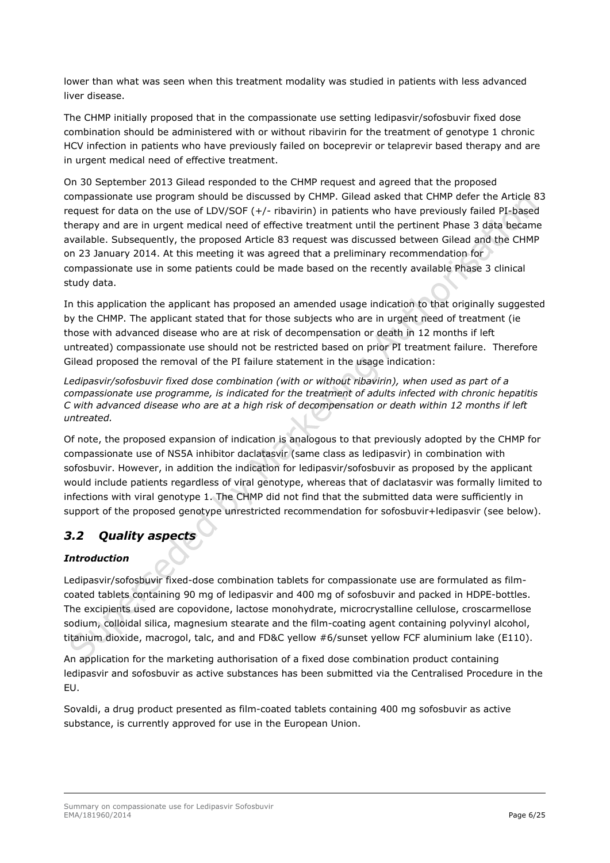lower than what was seen when this treatment modality was studied in patients with less advanced liver disease.

The CHMP initially proposed that in the compassionate use setting ledipasvir/sofosbuvir fixed dose combination should be administered with or without ribavirin for the treatment of genotype 1 chronic HCV infection in patients who have previously failed on boceprevir or telaprevir based therapy and are in urgent medical need of effective treatment.

On 30 September 2013 Gilead responded to the CHMP request and agreed that the proposed compassionate use program should be discussed by CHMP. Gilead asked that CHMP defer the Article 83 request for data on the use of LDV/SOF (+/- ribavirin) in patients who have previously failed PI-based therapy and are in urgent medical need of effective treatment until the pertinent Phase 3 data became available. Subsequently, the proposed Article 83 request was discussed between Gilead and the CHMP on 23 January 2014. At this meeting it was agreed that a preliminary recommendation for compassionate use in some patients could be made based on the recently available Phase 3 clinical study data.

In this application the applicant has proposed an amended usage indication to that originally suggested by the CHMP. The applicant stated that for those subjects who are in urgent need of treatment (ie those with advanced disease who are at risk of decompensation or death in 12 months if left untreated) compassionate use should not be restricted based on prior PI treatment failure. Therefore Gilead proposed the removal of the PI failure statement in the usage indication:

*Ledipasvir/sofosbuvir fixed dose combination (with or without ribavirin), when used as part of a compassionate use programme, is indicated for the treatment of adults infected with chronic hepatitis C with advanced disease who are at a high risk of decompensation or death within 12 months if left untreated.*

Of note, the proposed expansion of indication is analogous to that previously adopted by the CHMP for compassionate use of NS5A inhibitor daclatasvir (same class as ledipasvir) in combination with sofosbuvir. However, in addition the indication for ledipasvir/sofosbuvir as proposed by the applicant would include patients regardless of viral genotype, whereas that of daclatasvir was formally limited to infections with viral genotype 1. The CHMP did not find that the submitted data were sufficiently in support of the proposed genotype unrestricted recommendation for sofosbuvir+ledipasvir (see below).

## <span id="page-5-0"></span>*3.2 Quality aspects*

## *Introduction*

Ledipasvir/sofosbuvir fixed-dose combination tablets for compassionate use are formulated as filmcoated tablets containing 90 mg of ledipasvir and 400 mg of sofosbuvir and packed in HDPE-bottles. The excipients used are copovidone, lactose monohydrate, microcrystalline cellulose, croscarmellose sodium, colloidal silica, magnesium stearate and the film-coating agent containing polyvinyl alcohol, titanium dioxide, macrogol, talc, and and FD&C yellow #6/sunset yellow FCF aluminium lake (E110).

An application for the marketing authorisation of a fixed dose combination product containing ledipasvir and sofosbuvir as active substances has been submitted via the Centralised Procedure in the EU.

Sovaldi, a drug product presented as film-coated tablets containing 400 mg sofosbuvir as active substance, is currently approved for use in the European Union.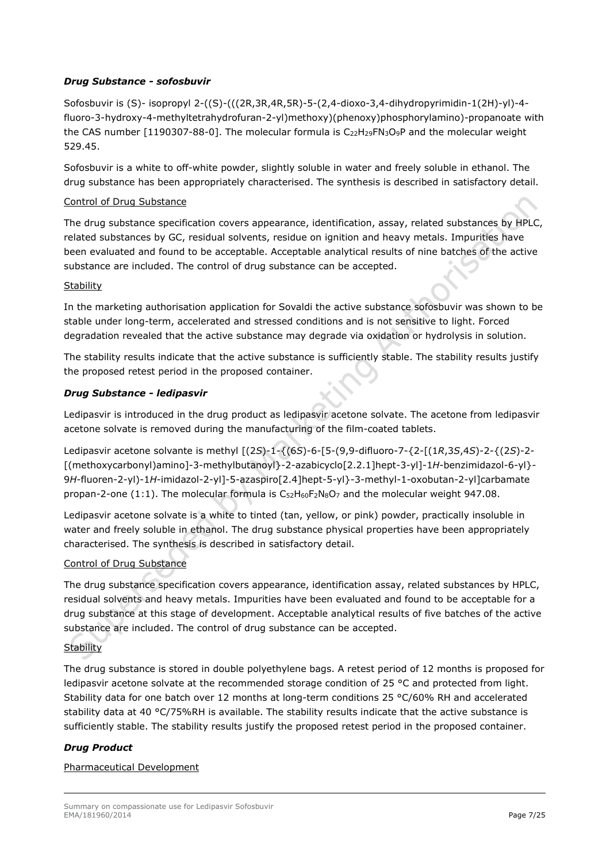## *Drug Substance - sofosbuvir*

Sofosbuvir is (S)- isopropyl 2-((S)-(((2R,3R,4R,5R)-5-(2,4-dioxo-3,4-dihydropyrimidin-1(2H)-yl)-4 fluoro-3-hydroxy-4-methyltetrahydrofuran-2-yl)methoxy)(phenoxy)phosphorylamino)-propanoate with the CAS number [1190307-88-0]. The molecular formula is  $C_{22}H_{29}FN_3O_9P$  and the molecular weight 529.45.

Sofosbuvir is a white to off-white powder, slightly soluble in water and freely soluble in ethanol. The drug substance has been appropriately characterised. The synthesis is described in satisfactory detail.

#### Control of Drug Substance

The drug substance specification covers appearance, identification, assay, related substances by HPLC, related substances by GC, residual solvents, residue on ignition and heavy metals. Impurities have been evaluated and found to be acceptable. Acceptable analytical results of nine batches of the active substance are included. The control of drug substance can be accepted.

#### **Stability**

In the marketing authorisation application for Sovaldi the active substance sofosbuvir was shown to be stable under long-term, accelerated and stressed conditions and is not sensitive to light. Forced degradation revealed that the active substance may degrade via oxidation or hydrolysis in solution.

The stability results indicate that the active substance is sufficiently stable. The stability results justify the proposed retest period in the proposed container.

## *Drug Substance - ledipasvir*

Ledipasvir is introduced in the drug product as ledipasvir acetone solvate. The acetone from ledipasvir acetone solvate is removed during the manufacturing of the film-coated tablets.

Ledipasvir acetone solvante is methyl [(2*S*)-1-{(6*S*)-6-[5-(9,9-difluoro-7-{2-[(1*R*,3*S*,4*S*)-2-{(2*S*)-2- [(methoxycarbonyl)amino]-3-methylbutanoyl}-2-azabicyclo[2.2.1]hept-3-yl]-1*H*-benzimidazol-6-yl}- 9*H*-fluoren-2-yl)-1*H*-imidazol-2-yl]-5-azaspiro[2.4]hept-5-yl}-3-methyl-1-oxobutan-2-yl]carbamate propan-2-one (1:1). The molecular formula is  $C_{52}H_{60}F_2N_8O_7$  and the molecular weight 947.08.

Ledipasvir acetone solvate is a white to tinted (tan, yellow, or pink) powder, practically insoluble in water and freely soluble in ethanol. The drug substance physical properties have been appropriately characterised. The synthesis is described in satisfactory detail.

## Control of Drug Substance

The drug substance specification covers appearance, identification assay, related substances by HPLC, residual solvents and heavy metals. Impurities have been evaluated and found to be acceptable for a drug substance at this stage of development. Acceptable analytical results of five batches of the active substance are included. The control of drug substance can be accepted.

## **Stability**

The drug substance is stored in double polyethylene bags. A retest period of 12 months is proposed for ledipasvir acetone solvate at the recommended storage condition of 25 °C and protected from light. Stability data for one batch over 12 months at long-term conditions 25 °C/60% RH and accelerated stability data at 40 °C/75%RH is available. The stability results indicate that the active substance is sufficiently stable. The stability results justify the proposed retest period in the proposed container.

## *Drug Product*

## Pharmaceutical Development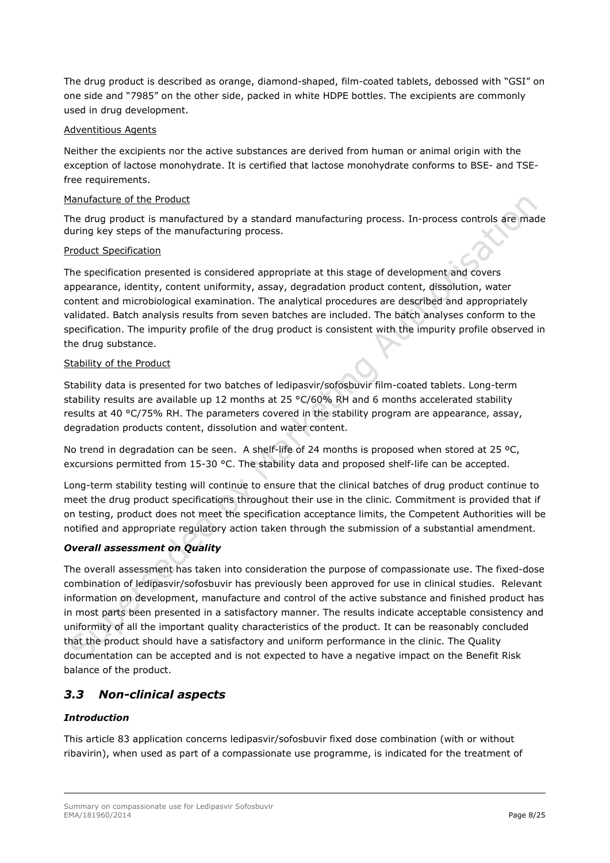The drug product is described as orange, diamond-shaped, film-coated tablets, debossed with "GSI" on one side and "7985" on the other side, packed in white HDPE bottles. The excipients are commonly used in drug development.

## Adventitious Agents

Neither the excipients nor the active substances are derived from human or animal origin with the exception of lactose monohydrate. It is certified that lactose monohydrate conforms to BSE- and TSEfree requirements.

#### Manufacture of the Product

The drug product is manufactured by a standard manufacturing process. In-process controls are made during key steps of the manufacturing process.

#### Product Specification

The specification presented is considered appropriate at this stage of development and covers appearance, identity, content uniformity, assay, degradation product content, dissolution, water content and microbiological examination. The analytical procedures are described and appropriately validated. Batch analysis results from seven batches are included. The batch analyses conform to the specification. The impurity profile of the drug product is consistent with the impurity profile observed in the drug substance.

#### Stability of the Product

Stability data is presented for two batches of ledipasvir/sofosbuvir film-coated tablets. Long-term stability results are available up 12 months at 25  $\textdegree C/60\%$  RH and 6 months accelerated stability results at 40 °C/75% RH. The parameters covered in the stability program are appearance, assay, degradation products content, dissolution and water content.

No trend in degradation can be seen. A shelf-life of 24 months is proposed when stored at 25 ºC, excursions permitted from 15-30 °C. The stability data and proposed shelf-life can be accepted.

Long-term stability testing will continue to ensure that the clinical batches of drug product continue to meet the drug product specifications throughout their use in the clinic. Commitment is provided that if on testing, product does not meet the specification acceptance limits, the Competent Authorities will be notified and appropriate regulatory action taken through the submission of a substantial amendment.

## *Overall assessment on Quality*

The overall assessment has taken into consideration the purpose of compassionate use. The fixed-dose combination of ledipasvir/sofosbuvir has previously been approved for use in clinical studies. Relevant information on development, manufacture and control of the active substance and finished product has in most parts been presented in a satisfactory manner. The results indicate acceptable consistency and uniformity of all the important quality characteristics of the product. It can be reasonably concluded that the product should have a satisfactory and uniform performance in the clinic. The Quality documentation can be accepted and is not expected to have a negative impact on the Benefit Risk balance of the product.

## <span id="page-7-0"></span>*3.3 Non-clinical aspects*

## *Introduction*

This article 83 application concerns ledipasvir/sofosbuvir fixed dose combination (with or without ribavirin), when used as part of a compassionate use programme, is indicated for the treatment of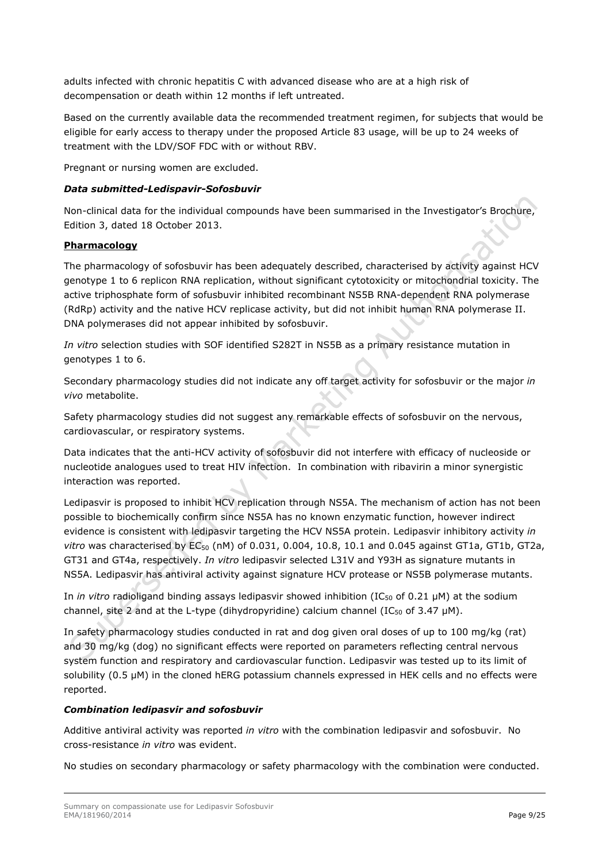adults infected with chronic hepatitis C with advanced disease who are at a high risk of decompensation or death within 12 months if left untreated.

Based on the currently available data the recommended treatment regimen, for subjects that would be eligible for early access to therapy under the proposed Article 83 usage, will be up to 24 weeks of treatment with the LDV/SOF FDC with or without RBV.

Pregnant or nursing women are excluded.

## *Data submitted-Ledispavir-Sofosbuvir*

Non-clinical data for the individual compounds have been summarised in the Investigator's Brochure, Edition 3, dated 18 October 2013.

## **Pharmacology**

The pharmacology of sofosbuvir has been adequately described, characterised by activity against HCV genotype 1 to 6 replicon RNA replication, without significant cytotoxicity or mitochondrial toxicity. The active triphosphate form of sofusbuvir inhibited recombinant NS5B RNA-dependent RNA polymerase (RdRp) activity and the native HCV replicase activity, but did not inhibit human RNA polymerase II. DNA polymerases did not appear inhibited by sofosbuvir.

*In vitro* selection studies with SOF identified S282T in NS5B as a primary resistance mutation in genotypes 1 to 6.

Secondary pharmacology studies did not indicate any off target activity for sofosbuvir or the major *in vivo* metabolite.

Safety pharmacology studies did not suggest any remarkable effects of sofosbuvir on the nervous, cardiovascular, or respiratory systems.

Data indicates that the anti-HCV activity of sofosbuvir did not interfere with efficacy of nucleoside or nucleotide analogues used to treat HIV infection. In combination with ribavirin a minor synergistic interaction was reported.

Ledipasvir is proposed to inhibit HCV replication through NS5A. The mechanism of action has not been possible to biochemically confirm since NS5A has no known enzymatic function, however indirect evidence is consistent with ledipasvir targeting the HCV NS5A protein. Ledipasvir inhibitory activity *in vitro* was characterised by EC<sub>50</sub> (nM) of 0.031, 0.004, 10.8, 10.1 and 0.045 against GT1a, GT1b, GT2a, GT31 and GT4a, respectively. *In vitro* ledipasvir selected L31V and Y93H as signature mutants in NS5A. Ledipasvir has antiviral activity against signature HCV protease or NS5B polymerase mutants.

In *in vitro* radioligand binding assays ledipasvir showed inhibition (IC<sub>50</sub> of 0.21 µM) at the sodium channel, site 2 and at the L-type (dihydropyridine) calcium channel (IC $_{50}$  of 3.47  $\mu$ M).

In safety pharmacology studies conducted in rat and dog given oral doses of up to 100 mg/kg (rat) and 30 mg/kg (dog) no significant effects were reported on parameters reflecting central nervous system function and respiratory and cardiovascular function. Ledipasvir was tested up to its limit of solubility (0.5 µM) in the cloned hERG potassium channels expressed in HEK cells and no effects were reported.

## *Combination ledipasvir and sofosbuvir*

Additive antiviral activity was reported *in vitro* with the combination ledipasvir and sofosbuvir. No cross-resistance *in vitro* was evident.

No studies on secondary pharmacology or safety pharmacology with the combination were conducted.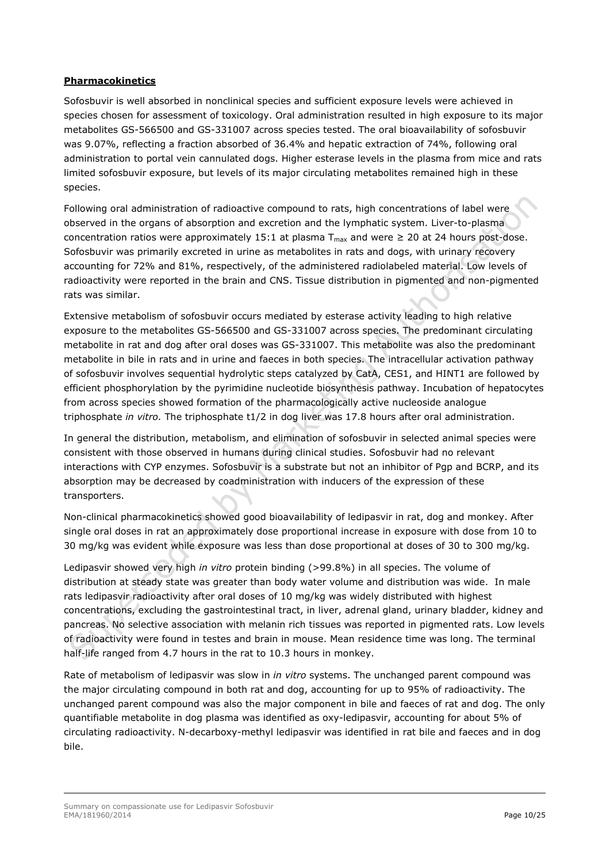## **Pharmacokinetics**

Sofosbuvir is well absorbed in nonclinical species and sufficient exposure levels were achieved in species chosen for assessment of toxicology. Oral administration resulted in high exposure to its major metabolites GS-566500 and GS-331007 across species tested. The oral bioavailability of sofosbuvir was 9.07%, reflecting a fraction absorbed of 36.4% and hepatic extraction of 74%, following oral administration to portal vein cannulated dogs. Higher esterase levels in the plasma from mice and rats limited sofosbuvir exposure, but levels of its major circulating metabolites remained high in these species.

Following oral administration of radioactive compound to rats, high concentrations of label were observed in the organs of absorption and excretion and the lymphatic system. Liver-to-plasma concentration ratios were approximately 15:1 at plasma  $T_{\text{max}}$  and were  $\geq$  20 at 24 hours post-dose. Sofosbuvir was primarily excreted in urine as metabolites in rats and dogs, with urinary recovery accounting for 72% and 81%, respectively, of the administered radiolabeled material. Low levels of radioactivity were reported in the brain and CNS. Tissue distribution in pigmented and non-pigmented rats was similar.

Extensive metabolism of sofosbuvir occurs mediated by esterase activity leading to high relative exposure to the metabolites GS-566500 and GS-331007 across species. The predominant circulating metabolite in rat and dog after oral doses was GS-331007. This metabolite was also the predominant metabolite in bile in rats and in urine and faeces in both species. The intracellular activation pathway of sofosbuvir involves sequential hydrolytic steps catalyzed by CatA, CES1, and HINT1 are followed by efficient phosphorylation by the pyrimidine nucleotide biosynthesis pathway. Incubation of hepatocytes from across species showed formation of the pharmacologically active nucleoside analogue triphosphate *in vitro.* The triphosphate t1/2 in dog liver was 17.8 hours after oral administration.

In general the distribution, metabolism, and elimination of sofosbuvir in selected animal species were consistent with those observed in humans during clinical studies. Sofosbuvir had no relevant interactions with CYP enzymes. Sofosbuvir is a substrate but not an inhibitor of Pgp and BCRP, and its absorption may be decreased by coadministration with inducers of the expression of these transporters.

Non-clinical pharmacokinetics showed good bioavailability of ledipasvir in rat, dog and monkey. After single oral doses in rat an approximately dose proportional increase in exposure with dose from 10 to 30 mg/kg was evident while exposure was less than dose proportional at doses of 30 to 300 mg/kg.

Ledipasvir showed very high *in vitro* protein binding (>99.8%) in all species. The volume of distribution at steady state was greater than body water volume and distribution was wide. In male rats ledipasvir radioactivity after oral doses of 10 mg/kg was widely distributed with highest concentrations, excluding the gastrointestinal tract, in liver, adrenal gland, urinary bladder, kidney and pancreas. No selective association with melanin rich tissues was reported in pigmented rats. Low levels of radioactivity were found in testes and brain in mouse. Mean residence time was long. The terminal half-life ranged from 4.7 hours in the rat to 10.3 hours in monkey.

Rate of metabolism of ledipasvir was slow in *in vitro* systems. The unchanged parent compound was the major circulating compound in both rat and dog, accounting for up to 95% of radioactivity. The unchanged parent compound was also the major component in bile and faeces of rat and dog. The only quantifiable metabolite in dog plasma was identified as oxy-ledipasvir, accounting for about 5% of circulating radioactivity. N-decarboxy-methyl ledipasvir was identified in rat bile and faeces and in dog bile.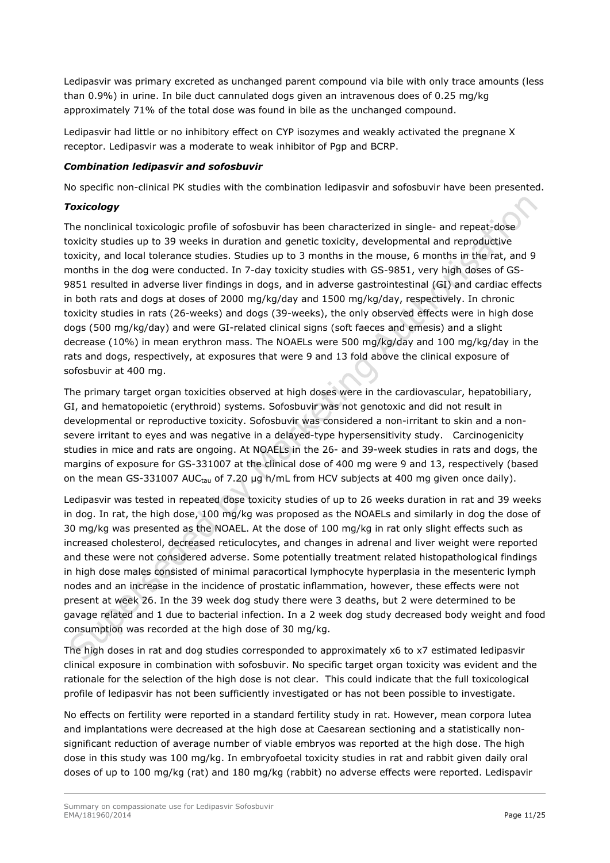Ledipasvir was primary excreted as unchanged parent compound via bile with only trace amounts (less than 0.9%) in urine. In bile duct cannulated dogs given an intravenous does of 0.25 mg/kg approximately 71% of the total dose was found in bile as the unchanged compound.

Ledipasvir had little or no inhibitory effect on CYP isozymes and weakly activated the pregnane X receptor. Ledipasvir was a moderate to weak inhibitor of Pgp and BCRP.

#### *Combination ledipasvir and sofosbuvir*

No specific non-clinical PK studies with the combination ledipasvir and sofosbuvir have been presented.

## *Toxicology*

The nonclinical toxicologic profile of sofosbuvir has been characterized in single- and repeat-dose toxicity studies up to 39 weeks in duration and genetic toxicity, developmental and reproductive toxicity, and local tolerance studies. Studies up to 3 months in the mouse, 6 months in the rat, and 9 months in the dog were conducted. In 7-day toxicity studies with GS-9851, very high doses of GS-9851 resulted in adverse liver findings in dogs, and in adverse gastrointestinal (GI) and cardiac effects in both rats and dogs at doses of 2000 mg/kg/day and 1500 mg/kg/day, respectively. In chronic toxicity studies in rats (26-weeks) and dogs (39-weeks), the only observed effects were in high dose dogs (500 mg/kg/day) and were GI-related clinical signs (soft faeces and emesis) and a slight decrease (10%) in mean erythron mass. The NOAELs were 500 mg/kg/day and 100 mg/kg/day in the rats and dogs, respectively, at exposures that were 9 and 13 fold above the clinical exposure of sofosbuvir at 400 mg.

The primary target organ toxicities observed at high doses were in the cardiovascular, hepatobiliary, GI, and hematopoietic (erythroid) systems. Sofosbuvir was not genotoxic and did not result in developmental or reproductive toxicity. Sofosbuvir was considered a non-irritant to skin and a nonsevere irritant to eyes and was negative in a delayed-type hypersensitivity study. Carcinogenicity studies in mice and rats are ongoing. At NOAELs in the 26- and 39-week studies in rats and dogs, the margins of exposure for GS-331007 at the clinical dose of 400 mg were 9 and 13, respectively (based on the mean GS-331007 AUC<sub>tau</sub> of 7.20 μg h/mL from HCV subjects at 400 mg given once daily).

Ledipasvir was tested in repeated dose toxicity studies of up to 26 weeks duration in rat and 39 weeks in dog. In rat, the high dose, 100 mg/kg was proposed as the NOAELs and similarly in dog the dose of 30 mg/kg was presented as the NOAEL. At the dose of 100 mg/kg in rat only slight effects such as increased cholesterol, decreased reticulocytes, and changes in adrenal and liver weight were reported and these were not considered adverse. Some potentially treatment related histopathological findings in high dose males consisted of minimal paracortical lymphocyte hyperplasia in the mesenteric lymph nodes and an increase in the incidence of prostatic inflammation, however, these effects were not present at week 26. In the 39 week dog study there were 3 deaths, but 2 were determined to be gavage related and 1 due to bacterial infection. In a 2 week dog study decreased body weight and food consumption was recorded at the high dose of 30 mg/kg.

The high doses in rat and dog studies corresponded to approximately x6 to x7 estimated ledipasvir clinical exposure in combination with sofosbuvir. No specific target organ toxicity was evident and the rationale for the selection of the high dose is not clear. This could indicate that the full toxicological profile of ledipasvir has not been sufficiently investigated or has not been possible to investigate.

No effects on fertility were reported in a standard fertility study in rat. However, mean corpora lutea and implantations were decreased at the high dose at Caesarean sectioning and a statistically nonsignificant reduction of average number of viable embryos was reported at the high dose. The high dose in this study was 100 mg/kg. In embryofoetal toxicity studies in rat and rabbit given daily oral doses of up to 100 mg/kg (rat) and 180 mg/kg (rabbit) no adverse effects were reported. Ledispavir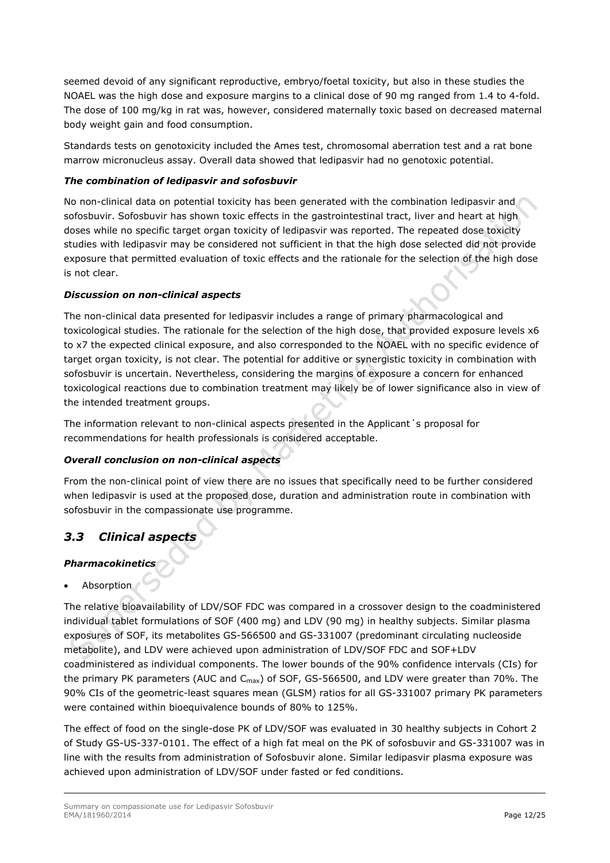seemed devoid of any significant reproductive, embryo/foetal toxicity, but also in these studies the NOAEL was the high dose and exposure margins to a clinical dose of 90 mg ranged from 1.4 to 4-fold. The dose of 100 mg/kg in rat was, however, considered maternally toxic based on decreased maternal body weight gain and food consumption.

Standards tests on genotoxicity included the Ames test, chromosomal aberration test and a rat bone marrow micronucleus assay. Overall data showed that ledipasvir had no genotoxic potential.

## *The combination of ledipasvir and sofosbuvir*

No non-clinical data on potential toxicity has been generated with the combination ledipasvir and sofosbuvir. Sofosbuvir has shown toxic effects in the gastrointestinal tract, liver and heart at high doses while no specific target organ toxicity of ledipasvir was reported. The repeated dose toxicity studies with ledipasvir may be considered not sufficient in that the high dose selected did not provide exposure that permitted evaluation of toxic effects and the rationale for the selection of the high dose is not clear.

## *Discussion on non-clinical aspects*

The non-clinical data presented for ledipasvir includes a range of primary pharmacological and toxicological studies. The rationale for the selection of the high dose, that provided exposure levels x6 to x7 the expected clinical exposure, and also corresponded to the NOAEL with no specific evidence of target organ toxicity, is not clear. The potential for additive or synergistic toxicity in combination with sofosbuvir is uncertain. Nevertheless, considering the margins of exposure a concern for enhanced toxicological reactions due to combination treatment may likely be of lower significance also in view of the intended treatment groups.

The information relevant to non-clinical aspects presented in the Applicant´s proposal for recommendations for health professionals is considered acceptable.

## *Overall conclusion on non-clinical aspects*

From the non-clinical point of view there are no issues that specifically need to be further considered when ledipasvir is used at the proposed dose, duration and administration route in combination with sofosbuvir in the compassionate use programme.

## <span id="page-11-0"></span>*3.3 Clinical aspects*

## *Pharmacokinetics*

Absorption

The relative bioavailability of LDV/SOF FDC was compared in a crossover design to the coadministered individual tablet formulations of SOF (400 mg) and LDV (90 mg) in healthy subjects. Similar plasma exposures of SOF, its metabolites GS-566500 and GS-331007 (predominant circulating nucleoside metabolite), and LDV were achieved upon administration of LDV/SOF FDC and SOF+LDV coadministered as individual components. The lower bounds of the 90% confidence intervals (CIs) for the primary PK parameters (AUC and C<sub>max</sub>) of SOF, GS-566500, and LDV were greater than 70%. The 90% CIs of the geometric-least squares mean (GLSM) ratios for all GS-331007 primary PK parameters were contained within bioequivalence bounds of 80% to 125%.

The effect of food on the single-dose PK of LDV/SOF was evaluated in 30 healthy subjects in Cohort 2 of Study GS-US-337-0101. The effect of a high fat meal on the PK of sofosbuvir and GS-331007 was in line with the results from administration of Sofosbuvir alone. Similar ledipasvir plasma exposure was achieved upon administration of LDV/SOF under fasted or fed conditions.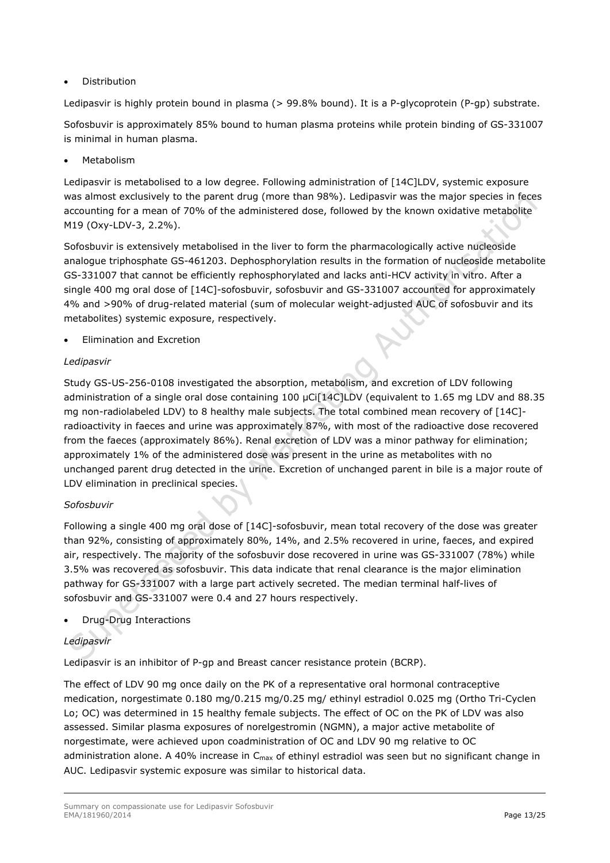**Distribution** 

Ledipasvir is highly protein bound in plasma (> 99.8% bound). It is a P-glycoprotein (P-gp) substrate.

Sofosbuvir is approximately 85% bound to human plasma proteins while protein binding of GS-331007 is minimal in human plasma.

**Metabolism** 

Ledipasvir is metabolised to a low degree. Following administration of [14C]LDV, systemic exposure was almost exclusively to the parent drug (more than 98%). Ledipasvir was the major species in feces accounting for a mean of 70% of the administered dose, followed by the known oxidative metabolite M19 (Oxy-LDV-3, 2.2%).

Sofosbuvir is extensively metabolised in the liver to form the pharmacologically active nucleoside analogue triphosphate GS-461203. Dephosphorylation results in the formation of nucleoside metabolite GS-331007 that cannot be efficiently rephosphorylated and lacks anti-HCV activity in vitro. After a single 400 mg oral dose of [14C]-sofosbuvir, sofosbuvir and GS-331007 accounted for approximately 4% and >90% of drug-related material (sum of molecular weight-adjusted AUC of sofosbuvir and its metabolites) systemic exposure, respectively.

• Elimination and Excretion

## *Ledipasvir*

Study GS-US-256-0108 investigated the absorption, metabolism, and excretion of LDV following administration of a single oral dose containing 100 μCi[14C]LDV (equivalent to 1.65 mg LDV and 88.35 mg non-radiolabeled LDV) to 8 healthy male subjects. The total combined mean recovery of [14C] radioactivity in faeces and urine was approximately 87%, with most of the radioactive dose recovered from the faeces (approximately 86%). Renal excretion of LDV was a minor pathway for elimination; approximately 1% of the administered dose was present in the urine as metabolites with no unchanged parent drug detected in the urine. Excretion of unchanged parent in bile is a major route of LDV elimination in preclinical species.

## *Sofosbuvir*

Following a single 400 mg oral dose of [14C]-sofosbuvir, mean total recovery of the dose was greater than 92%, consisting of approximately 80%, 14%, and 2.5% recovered in urine, faeces, and expired air, respectively. The majority of the sofosbuvir dose recovered in urine was GS-331007 (78%) while 3.5% was recovered as sofosbuvir. This data indicate that renal clearance is the major elimination pathway for GS-331007 with a large part actively secreted. The median terminal half-lives of sofosbuvir and GS-331007 were 0.4 and 27 hours respectively.

• Drug-Drug Interactions

## *Ledipasvir*

Ledipasvir is an inhibitor of P-gp and Breast cancer resistance protein (BCRP).

The effect of LDV 90 mg once daily on the PK of a representative oral hormonal contraceptive medication, norgestimate 0.180 mg/0.215 mg/0.25 mg/ ethinyl estradiol 0.025 mg (Ortho Tri-Cyclen Lo; OC) was determined in 15 healthy female subjects. The effect of OC on the PK of LDV was also assessed. Similar plasma exposures of norelgestromin (NGMN), a major active metabolite of norgestimate, were achieved upon coadministration of OC and LDV 90 mg relative to OC administration alone. A 40% increase in  $C_{\text{max}}$  of ethinyl estradiol was seen but no significant change in AUC. Ledipasvir systemic exposure was similar to historical data.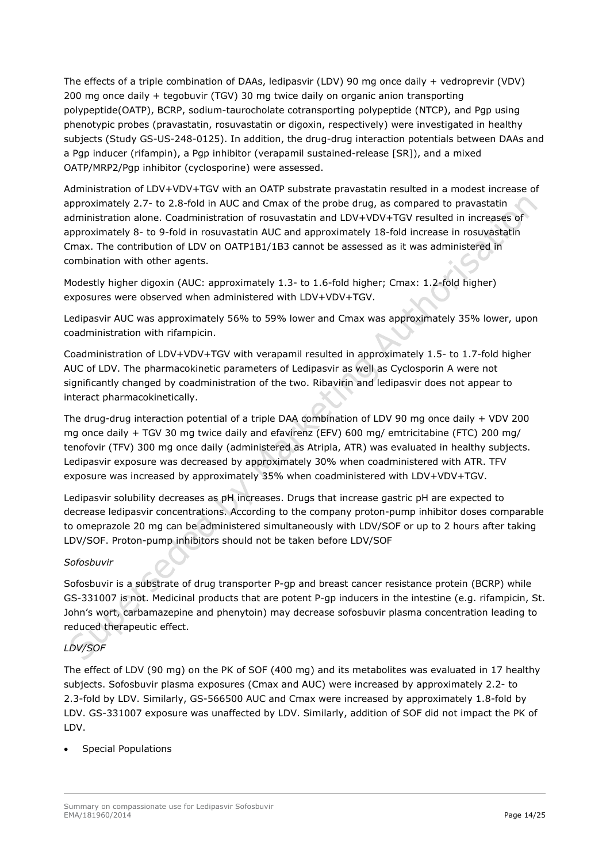The effects of a triple combination of DAAs, ledipasvir (LDV) 90 mg once daily + vedroprevir (VDV) 200 mg once daily + tegobuvir (TGV) 30 mg twice daily on organic anion transporting polypeptide(OATP), BCRP, sodium-taurocholate cotransporting polypeptide (NTCP), and Pgp using phenotypic probes (pravastatin, rosuvastatin or digoxin, respectively) were investigated in healthy subjects (Study GS-US-248-0125). In addition, the drug-drug interaction potentials between DAAs and a Pgp inducer (rifampin), a Pgp inhibitor (verapamil sustained-release [SR]), and a mixed OATP/MRP2/Pgp inhibitor (cyclosporine) were assessed.

Administration of LDV+VDV+TGV with an OATP substrate pravastatin resulted in a modest increase of approximately 2.7- to 2.8-fold in AUC and Cmax of the probe drug, as compared to pravastatin administration alone. Coadministration of rosuvastatin and LDV+VDV+TGV resulted in increases of approximately 8- to 9-fold in rosuvastatin AUC and approximately 18-fold increase in rosuvastatin Cmax. The contribution of LDV on OATP1B1/1B3 cannot be assessed as it was administered in combination with other agents.

Modestly higher digoxin (AUC: approximately 1.3- to 1.6-fold higher; Cmax: 1.2-fold higher) exposures were observed when administered with LDV+VDV+TGV.

Ledipasvir AUC was approximately 56% to 59% lower and Cmax was approximately 35% lower, upon coadministration with rifampicin.

Coadministration of LDV+VDV+TGV with verapamil resulted in approximately 1.5- to 1.7-fold higher AUC of LDV. The pharmacokinetic parameters of Ledipasvir as well as Cyclosporin A were not significantly changed by coadministration of the two. Ribavirin and ledipasvir does not appear to interact pharmacokinetically.

The drug-drug interaction potential of a triple DAA combination of LDV 90 mg once daily + VDV 200 mg once daily + TGV 30 mg twice daily and efavirenz (EFV) 600 mg/ emtricitabine (FTC) 200 mg/ tenofovir (TFV) 300 mg once daily (administered as Atripla, ATR) was evaluated in healthy subjects. Ledipasvir exposure was decreased by approximately 30% when coadministered with ATR. TFV exposure was increased by approximately 35% when coadministered with LDV+VDV+TGV.

Ledipasvir solubility decreases as pH increases. Drugs that increase gastric pH are expected to decrease ledipasvir concentrations. According to the company proton-pump inhibitor doses comparable to omeprazole 20 mg can be administered simultaneously with LDV/SOF or up to 2 hours after taking LDV/SOF. Proton-pump inhibitors should not be taken before LDV/SOF

## *Sofosbuvir*

Sofosbuvir is a substrate of drug transporter P-gp and breast cancer resistance protein (BCRP) while GS-331007 is not. Medicinal products that are potent P-gp inducers in the intestine (e.g. rifampicin, St. John's wort, carbamazepine and phenytoin) may decrease sofosbuvir plasma concentration leading to reduced therapeutic effect.

## *LDV/SOF*

The effect of LDV (90 mg) on the PK of SOF (400 mg) and its metabolites was evaluated in 17 healthy subjects. Sofosbuvir plasma exposures (Cmax and AUC) were increased by approximately 2.2- to 2.3-fold by LDV. Similarly, GS-566500 AUC and Cmax were increased by approximately 1.8-fold by LDV. GS-331007 exposure was unaffected by LDV. Similarly, addition of SOF did not impact the PK of LDV.

• Special Populations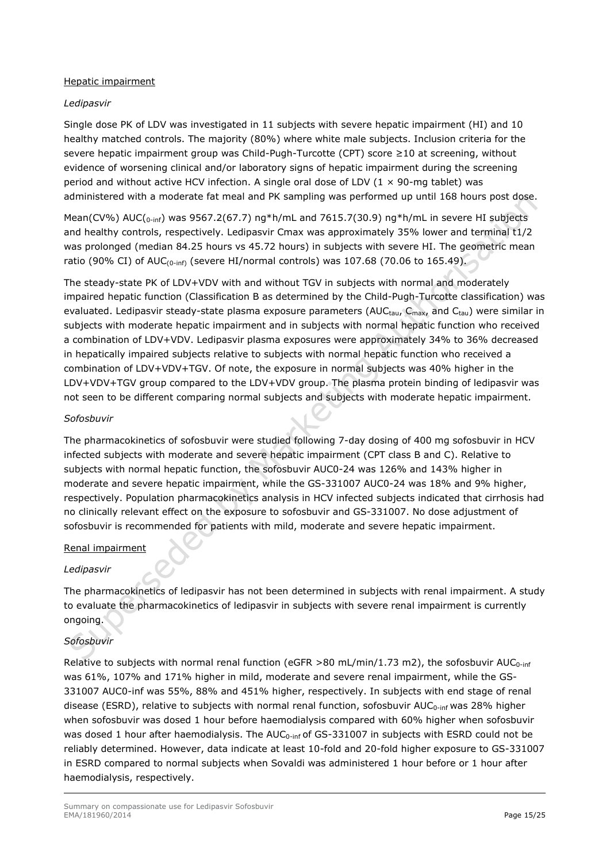#### Hepatic impairment

#### *Ledipasvir*

Single dose PK of LDV was investigated in 11 subjects with severe hepatic impairment (HI) and 10 healthy matched controls. The majority (80%) where white male subjects. Inclusion criteria for the severe hepatic impairment group was Child-Pugh-Turcotte (CPT) score ≥10 at screening, without evidence of worsening clinical and/or laboratory signs of hepatic impairment during the screening period and without active HCV infection. A single oral dose of LDV ( $1 \times 90$ -mg tablet) was administered with a moderate fat meal and PK sampling was performed up until 168 hours post dose.

Mean(CV%) AUC(<sub>0-inf</sub>) was 9567.2(67.7) ng\*h/mL and 7615.7(30.9) ng\*h/mL in severe HI subjects and healthy controls, respectively. Ledipasvir Cmax was approximately 35% lower and terminal t1/2 was prolonged (median 84.25 hours vs 45.72 hours) in subjects with severe HI. The geometric mean ratio (90% CI) of AUC<sub>(0-inf)</sub> (severe HI/normal controls) was 107.68 (70.06 to 165.49).

The steady-state PK of LDV+VDV with and without TGV in subjects with normal and moderately impaired hepatic function (Classification B as determined by the Child-Pugh-Turcotte classification) was evaluated. Ledipasvir steady-state plasma exposure parameters (AUCtau, C<sub>max</sub>, and Ctau) were similar in subjects with moderate hepatic impairment and in subjects with normal hepatic function who received a combination of LDV+VDV. Ledipasvir plasma exposures were approximately 34% to 36% decreased in hepatically impaired subjects relative to subjects with normal hepatic function who received a combination of LDV+VDV+TGV. Of note, the exposure in normal subjects was 40% higher in the LDV+VDV+TGV group compared to the LDV+VDV group. The plasma protein binding of ledipasvir was not seen to be different comparing normal subjects and subjects with moderate hepatic impairment.

#### *Sofosbuvir*

The pharmacokinetics of sofosbuvir were studied following 7-day dosing of 400 mg sofosbuvir in HCV infected subjects with moderate and severe hepatic impairment (CPT class B and C). Relative to subjects with normal hepatic function, the sofosbuvir AUC0-24 was 126% and 143% higher in moderate and severe hepatic impairment, while the GS-331007 AUC0-24 was 18% and 9% higher, respectively. Population pharmacokinetics analysis in HCV infected subjects indicated that cirrhosis had no clinically relevant effect on the exposure to sofosbuvir and GS-331007. No dose adjustment of sofosbuvir is recommended for patients with mild, moderate and severe hepatic impairment.

## Renal impairment

## *Ledipasvir*

The pharmacokinetics of ledipasvir has not been determined in subjects with renal impairment. A study to evaluate the pharmacokinetics of ledipasvir in subjects with severe renal impairment is currently ongoing.

## *Sofosbuvir*

Relative to subjects with normal renal function (eGFR >80 mL/min/1.73 m2), the sofosbuvir AUC<sub>0-inf</sub> was 61%, 107% and 171% higher in mild, moderate and severe renal impairment, while the GS-331007 AUC0-inf was 55%, 88% and 451% higher, respectively. In subjects with end stage of renal disease (ESRD), relative to subjects with normal renal function, sofosbuvir AUC<sub>0-inf</sub> was 28% higher when sofosbuvir was dosed 1 hour before haemodialysis compared with 60% higher when sofosbuvir was dosed 1 hour after haemodialysis. The AUC<sub>0-inf</sub> of GS-331007 in subjects with ESRD could not be reliably determined. However, data indicate at least 10-fold and 20-fold higher exposure to GS-331007 in ESRD compared to normal subjects when Sovaldi was administered 1 hour before or 1 hour after haemodialysis, respectively.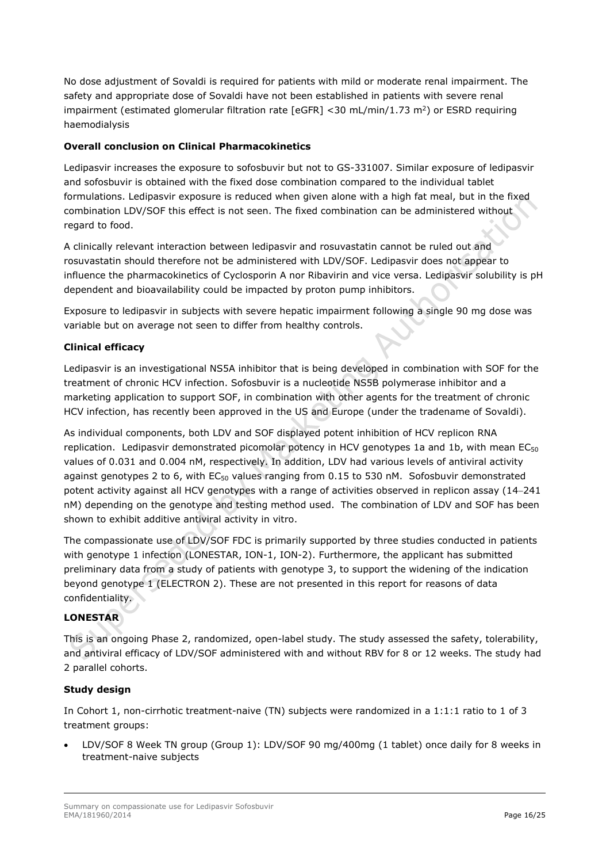No dose adjustment of Sovaldi is required for patients with mild or moderate renal impairment. The safety and appropriate dose of Sovaldi have not been established in patients with severe renal impairment (estimated glomerular filtration rate  $[EGFR] < 30$  mL/min/1.73 m<sup>2</sup>) or ESRD requiring haemodialysis

## **Overall conclusion on Clinical Pharmacokinetics**

Ledipasvir increases the exposure to sofosbuvir but not to GS-331007. Similar exposure of ledipasvir and sofosbuvir is obtained with the fixed dose combination compared to the individual tablet formulations. Ledipasvir exposure is reduced when given alone with a high fat meal, but in the fixed combination LDV/SOF this effect is not seen. The fixed combination can be administered without regard to food.

A clinically relevant interaction between ledipasvir and rosuvastatin cannot be ruled out and rosuvastatin should therefore not be administered with LDV/SOF. Ledipasvir does not appear to influence the pharmacokinetics of Cyclosporin A nor Ribavirin and vice versa. Ledipasvir solubility is pH dependent and bioavailability could be impacted by proton pump inhibitors.

Exposure to ledipasvir in subjects with severe hepatic impairment following a single 90 mg dose was variable but on average not seen to differ from healthy controls.

## **Clinical efficacy**

Ledipasvir is an investigational NS5A inhibitor that is being developed in combination with SOF for the treatment of chronic HCV infection. Sofosbuvir is a nucleotide NS5B polymerase inhibitor and a marketing application to support SOF, in combination with other agents for the treatment of chronic HCV infection, has recently been approved in the US and Europe (under the tradename of Sovaldi).

As individual components, both LDV and SOF displayed potent inhibition of HCV replicon RNA replication. Ledipasvir demonstrated picomolar potency in HCV genotypes 1a and 1b, with mean  $EC_{50}$ values of 0.031 and 0.004 nM, respectively. In addition, LDV had various levels of antiviral activity against genotypes 2 to 6, with EC<sub>50</sub> values ranging from 0.15 to 530 nM. Sofosbuvir demonstrated potent activity against all HCV genotypes with a range of activities observed in replicon assay (14−241 nM) depending on the genotype and testing method used. The combination of LDV and SOF has been shown to exhibit additive antiviral activity in vitro.

The compassionate use of LDV/SOF FDC is primarily supported by three studies conducted in patients with genotype 1 infection (LONESTAR, ION-1, ION-2). Furthermore, the applicant has submitted preliminary data from a study of patients with genotype 3, to support the widening of the indication beyond genotype 1 (ELECTRON 2). These are not presented in this report for reasons of data confidentiality.

## **LONESTAR**

This is an ongoing Phase 2, randomized, open-label study. The study assessed the safety, tolerability, and antiviral efficacy of LDV/SOF administered with and without RBV for 8 or 12 weeks. The study had 2 parallel cohorts.

## **Study design**

In Cohort 1, non-cirrhotic treatment-naive (TN) subjects were randomized in a 1:1:1 ratio to 1 of 3 treatment groups:

• LDV/SOF 8 Week TN group (Group 1): LDV/SOF 90 mg/400mg (1 tablet) once daily for 8 weeks in treatment-naive subjects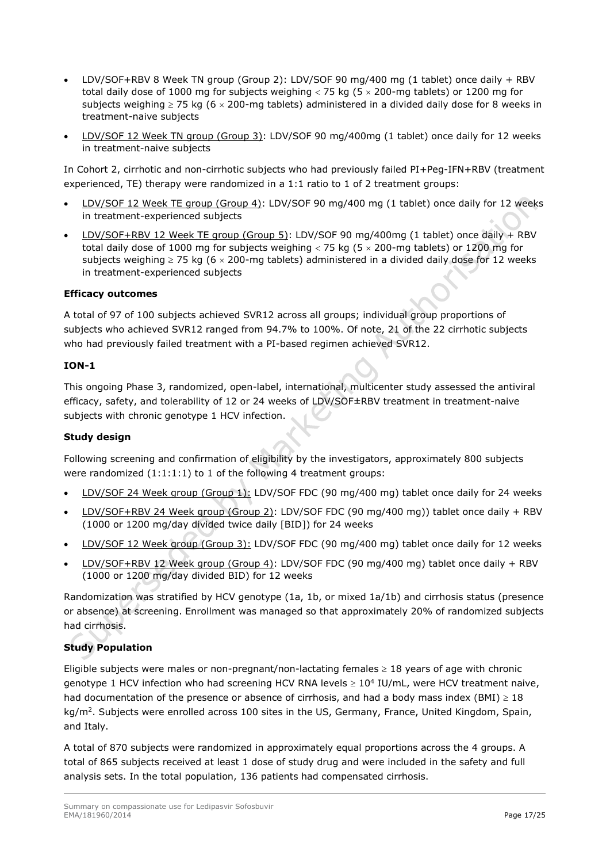- LDV/SOF+RBV 8 Week TN group (Group 2): LDV/SOF 90 mg/400 mg (1 tablet) once daily + RBV total daily dose of 1000 mg for subjects weighing  $<$  75 kg (5  $\times$  200-mg tablets) or 1200 mg for subjects weighing  $\geq$  75 kg (6  $\times$  200-mg tablets) administered in a divided daily dose for 8 weeks in treatment-naive subjects
- LDV/SOF 12 Week TN group (Group 3): LDV/SOF 90 mg/400mg (1 tablet) once daily for 12 weeks in treatment-naive subjects

In Cohort 2, cirrhotic and non-cirrhotic subjects who had previously failed PI+Peg-IFN+RBV (treatment experienced, TE) therapy were randomized in a 1:1 ratio to 1 of 2 treatment groups:

- LDV/SOF 12 Week TE group (Group 4): LDV/SOF 90 mg/400 mg (1 tablet) once daily for 12 weeks in treatment-experienced subjects
- LDV/SOF+RBV 12 Week TE group (Group 5): LDV/SOF 90 mg/400mg (1 tablet) once daily + RBV total daily dose of 1000 mg for subjects weighing  $<$  75 kg (5  $\times$  200-mg tablets) or 1200 mg for subjects weighing  $\geq$  75 kg (6  $\times$  200-mg tablets) administered in a divided daily dose for 12 weeks in treatment-experienced subjects

## **Efficacy outcomes**

A total of 97 of 100 subjects achieved SVR12 across all groups; individual group proportions of subjects who achieved SVR12 ranged from 94.7% to 100%. Of note, 21 of the 22 cirrhotic subjects who had previously failed treatment with a PI-based regimen achieved SVR12.

## **ION-1**

This ongoing Phase 3, randomized, open-label, international, multicenter study assessed the antiviral efficacy, safety, and tolerability of 12 or 24 weeks of LDV/SOF±RBV treatment in treatment-naive subjects with chronic genotype 1 HCV infection.

## **Study design**

Following screening and confirmation of eligibility by the investigators, approximately 800 subjects were randomized (1:1:1:1) to 1 of the following 4 treatment groups:

- LDV/SOF 24 Week group (Group 1): LDV/SOF FDC (90 mg/400 mg) tablet once daily for 24 weeks
- LDV/SOF+RBV 24 Week group (Group 2): LDV/SOF FDC (90 mg/400 mg)) tablet once daily + RBV (1000 or 1200 mg/day divided twice daily [BID]) for 24 weeks
- LDV/SOF 12 Week group (Group 3): LDV/SOF FDC (90 mg/400 mg) tablet once daily for 12 weeks
- LDV/SOF+RBV 12 Week group (Group 4): LDV/SOF FDC (90 mg/400 mg) tablet once daily + RBV (1000 or 1200 mg/day divided BID) for 12 weeks

Randomization was stratified by HCV genotype (1a, 1b, or mixed 1a/1b) and cirrhosis status (presence or absence) at screening. Enrollment was managed so that approximately 20% of randomized subjects had cirrhosis.

## **Study Population**

Eligible subjects were males or non-pregnant/non-lactating females  $\geq 18$  years of age with chronic genotype 1 HCV infection who had screening HCV RNA levels  $\geq 10^4$  IU/mL, were HCV treatment naive, had documentation of the presence or absence of cirrhosis, and had a body mass index (BMI)  $\geq$  18 kg/m<sup>2</sup>. Subjects were enrolled across 100 sites in the US, Germany, France, United Kingdom, Spain, and Italy.

A total of 870 subjects were randomized in approximately equal proportions across the 4 groups. A total of 865 subjects received at least 1 dose of study drug and were included in the safety and full analysis sets. In the total population, 136 patients had compensated cirrhosis.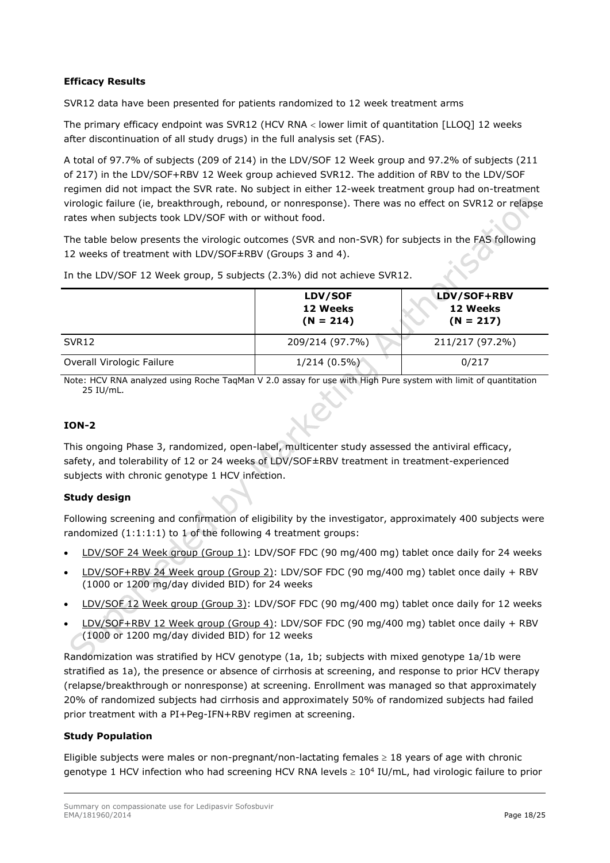## **Efficacy Results**

SVR12 data have been presented for patients randomized to 12 week treatment arms

The primary efficacy endpoint was SVR12 (HCV RNA < lower limit of quantitation [LLOQ] 12 weeks after discontinuation of all study drugs) in the full analysis set (FAS).

A total of 97.7% of subjects (209 of 214) in the LDV/SOF 12 Week group and 97.2% of subjects (211 of 217) in the LDV/SOF+RBV 12 Week group achieved SVR12. The addition of RBV to the LDV/SOF regimen did not impact the SVR rate. No subject in either 12-week treatment group had on-treatment virologic failure (ie, breakthrough, rebound, or nonresponse). There was no effect on SVR12 or relapse rates when subjects took LDV/SOF with or without food.

The table below presents the virologic outcomes (SVR and non-SVR) for subjects in the FAS following 12 weeks of treatment with LDV/SOF±RBV (Groups 3 and 4).

|                           | LDV/SOF<br>12 Weeks<br>$(N = 214)$ | LDV/SOF+RBV<br>12 Weeks<br>$(N = 217)$ |  |
|---------------------------|------------------------------------|----------------------------------------|--|
| SVR <sub>12</sub>         | 209/214 (97.7%)                    | 211/217 (97.2%)                        |  |
| Overall Virologic Failure | $1/214(0.5\%)$                     | 0/217                                  |  |

In the LDV/SOF 12 Week group, 5 subjects (2.3%) did not achieve SVR12.

Note: HCV RNA analyzed using Roche TaqMan V 2.0 assay for use with High Pure system with limit of quantitation 25 IU/mL.

## **ION-2**

This ongoing Phase 3, randomized, open-label, multicenter study assessed the antiviral efficacy, safety, and tolerability of 12 or 24 weeks of LDV/SOF±RBV treatment in treatment-experienced subjects with chronic genotype 1 HCV infection.

## **Study design**

Following screening and confirmation of eligibility by the investigator, approximately 400 subjects were randomized (1:1:1:1) to 1 of the following 4 treatment groups:

- LDV/SOF 24 Week group (Group 1): LDV/SOF FDC (90 mg/400 mg) tablet once daily for 24 weeks
- LDV/SOF+RBV 24 Week group (Group 2): LDV/SOF FDC (90 mg/400 mg) tablet once daily + RBV (1000 or 1200 mg/day divided BID) for 24 weeks
- LDV/SOF 12 Week group (Group 3): LDV/SOF FDC (90 mg/400 mg) tablet once daily for 12 weeks
- LDV/SOF+RBV 12 Week group (Group 4): LDV/SOF FDC (90 mg/400 mg) tablet once daily + RBV (1000 or 1200 mg/day divided BID) for 12 weeks

Randomization was stratified by HCV genotype (1a, 1b; subjects with mixed genotype 1a/1b were stratified as 1a), the presence or absence of cirrhosis at screening, and response to prior HCV therapy (relapse/breakthrough or nonresponse) at screening. Enrollment was managed so that approximately 20% of randomized subjects had cirrhosis and approximately 50% of randomized subjects had failed prior treatment with a PI+Peg-IFN+RBV regimen at screening.

#### **Study Population**

Eligible subjects were males or non-pregnant/non-lactating females  $\geq 18$  years of age with chronic genotype 1 HCV infection who had screening HCV RNA levels  $\geq 10^4$  IU/mL, had virologic failure to prior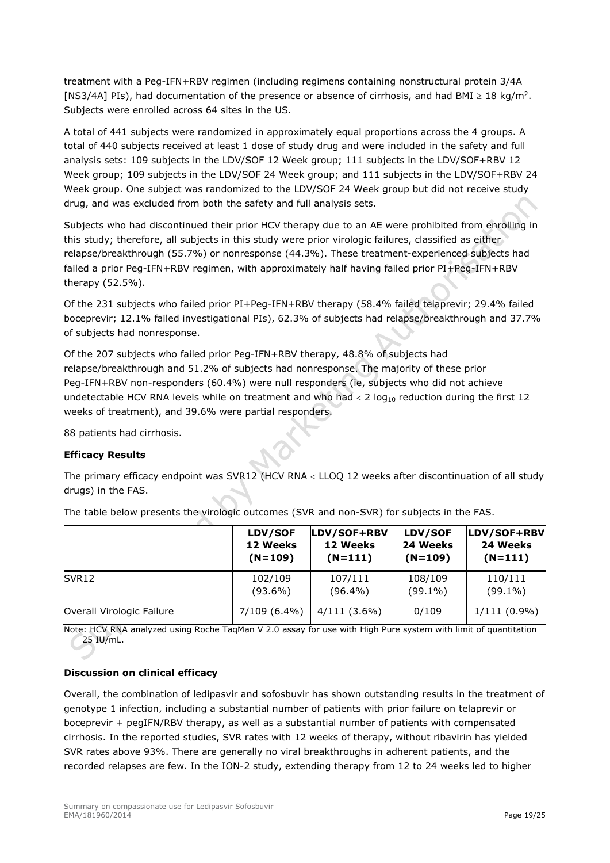treatment with a Peg-IFN+RBV regimen (including regimens containing nonstructural protein 3/4A [NS3/4A] PIs), had documentation of the presence or absence of cirrhosis, and had BMI  $\geq 18$  kg/m<sup>2</sup>. Subjects were enrolled across 64 sites in the US.

A total of 441 subjects were randomized in approximately equal proportions across the 4 groups. A total of 440 subjects received at least 1 dose of study drug and were included in the safety and full analysis sets: 109 subjects in the LDV/SOF 12 Week group; 111 subjects in the LDV/SOF+RBV 12 Week group; 109 subjects in the LDV/SOF 24 Week group; and 111 subjects in the LDV/SOF+RBV 24 Week group. One subject was randomized to the LDV/SOF 24 Week group but did not receive study drug, and was excluded from both the safety and full analysis sets.

Subjects who had discontinued their prior HCV therapy due to an AE were prohibited from enrolling in this study; therefore, all subjects in this study were prior virologic failures, classified as either relapse/breakthrough (55.7%) or nonresponse (44.3%). These treatment-experienced subjects had failed a prior Peg-IFN+RBV regimen, with approximately half having failed prior PI+Peg-IFN+RBV therapy (52.5%).

Of the 231 subjects who failed prior PI+Peg-IFN+RBV therapy (58.4% failed telaprevir; 29.4% failed boceprevir; 12.1% failed investigational PIs), 62.3% of subjects had relapse/breakthrough and 37.7% of subjects had nonresponse.

Of the 207 subjects who failed prior Peg-IFN+RBV therapy, 48.8% of subjects had relapse/breakthrough and 51.2% of subjects had nonresponse. The majority of these prior Peg-IFN+RBV non-responders (60.4%) were null responders (ie, subjects who did not achieve undetectable HCV RNA levels while on treatment and who had  $< 2 \log_{10}$  reduction during the first 12 weeks of treatment), and 39.6% were partial responders.

88 patients had cirrhosis.

## **Efficacy Results**

The primary efficacy endpoint was SVR12 (HCV RNA < LLOQ 12 weeks after discontinuation of all study drugs) in the FAS.

|                           | LDV/SOF      | LDV/SOF+RBV    | LDV/SOF    | LDV/SOF+RBV    |
|---------------------------|--------------|----------------|------------|----------------|
|                           | 12 Weeks     | 12 Weeks       | 24 Weeks   | 24 Weeks       |
|                           | $(N=109)$    | $(N=111)$      | $(N=109)$  | $(N=111)$      |
| SVR <sub>12</sub>         | 102/109      | 107/111        | 108/109    | 110/111        |
|                           | $(93.6\%)$   | $(96.4\%)$     | $(99.1\%)$ | $(99.1\%)$     |
| Overall Virologic Failure | 7/109 (6.4%) | $4/111(3.6\%)$ | 0/109      | $1/111(0.9\%)$ |

The table below presents the virologic outcomes (SVR and non-SVR) for subjects in the FAS.

Note: HCV RNA analyzed using Roche TaqMan V 2.0 assay for use with High Pure system with limit of quantitation 25 IU/mL.

## **Discussion on clinical efficacy**

Overall, the combination of ledipasvir and sofosbuvir has shown outstanding results in the treatment of genotype 1 infection, including a substantial number of patients with prior failure on telaprevir or boceprevir + pegIFN/RBV therapy, as well as a substantial number of patients with compensated cirrhosis. In the reported studies, SVR rates with 12 weeks of therapy, without ribavirin has yielded SVR rates above 93%. There are generally no viral breakthroughs in adherent patients, and the recorded relapses are few. In the ION-2 study, extending therapy from 12 to 24 weeks led to higher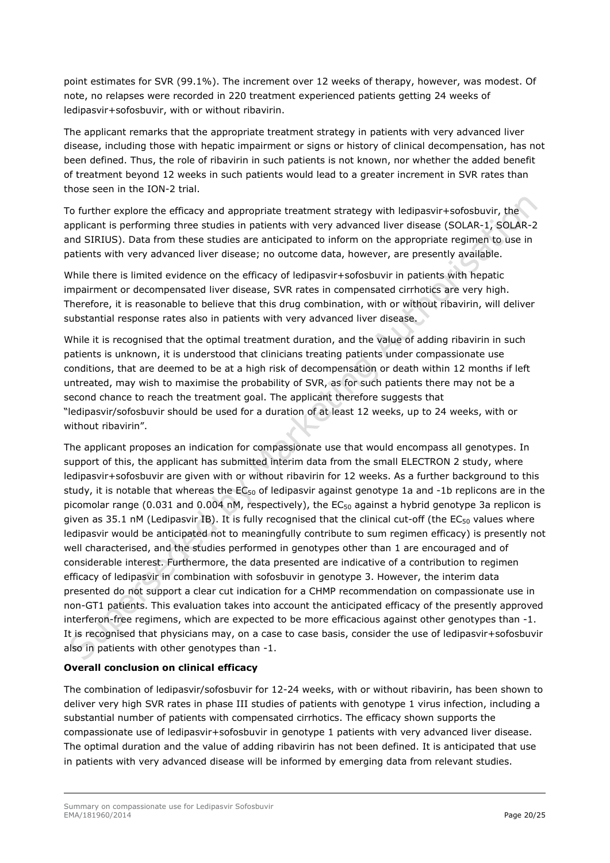point estimates for SVR (99.1%). The increment over 12 weeks of therapy, however, was modest. Of note, no relapses were recorded in 220 treatment experienced patients getting 24 weeks of ledipasvir+sofosbuvir, with or without ribavirin.

The applicant remarks that the appropriate treatment strategy in patients with very advanced liver disease, including those with hepatic impairment or signs or history of clinical decompensation, has not been defined. Thus, the role of ribavirin in such patients is not known, nor whether the added benefit of treatment beyond 12 weeks in such patients would lead to a greater increment in SVR rates than those seen in the ION-2 trial.

To further explore the efficacy and appropriate treatment strategy with ledipasvir+sofosbuvir, the applicant is performing three studies in patients with very advanced liver disease (SOLAR-1, SOLAR-2 and SIRIUS). Data from these studies are anticipated to inform on the appropriate regimen to use in patients with very advanced liver disease; no outcome data, however, are presently available.

While there is limited evidence on the efficacy of ledipasvir+sofosbuvir in patients with hepatic impairment or decompensated liver disease, SVR rates in compensated cirrhotics are very high. Therefore, it is reasonable to believe that this drug combination, with or without ribavirin, will deliver substantial response rates also in patients with very advanced liver disease.

While it is recognised that the optimal treatment duration, and the value of adding ribavirin in such patients is unknown, it is understood that clinicians treating patients under compassionate use conditions, that are deemed to be at a high risk of decompensation or death within 12 months if left untreated, may wish to maximise the probability of SVR, as for such patients there may not be a second chance to reach the treatment goal. The applicant therefore suggests that "ledipasvir/sofosbuvir should be used for a duration of at least 12 weeks, up to 24 weeks, with or without ribavirin".

The applicant proposes an indication for compassionate use that would encompass all genotypes. In support of this, the applicant has submitted interim data from the small ELECTRON 2 study, where ledipasvir+sofosbuvir are given with or without ribavirin for 12 weeks. As a further background to this study, it is notable that whereas the  $EC_{50}$  of ledipasvir against genotype 1a and -1b replicons are in the picomolar range (0.031 and 0.004 nM, respectively), the  $EC_{50}$  against a hybrid genotype 3a replicon is given as 35.1 nM (Ledipasvir IB). It is fully recognised that the clinical cut-off (the  $EC_{50}$  values where ledipasvir would be anticipated not to meaningfully contribute to sum regimen efficacy) is presently not well characterised, and the studies performed in genotypes other than 1 are encouraged and of considerable interest. Furthermore, the data presented are indicative of a contribution to regimen efficacy of ledipasvir in combination with sofosbuvir in genotype 3. However, the interim data presented do not support a clear cut indication for a CHMP recommendation on compassionate use in non-GT1 patients. This evaluation takes into account the anticipated efficacy of the presently approved interferon-free regimens, which are expected to be more efficacious against other genotypes than -1. It is recognised that physicians may, on a case to case basis, consider the use of ledipasvir+sofosbuvir also in patients with other genotypes than -1.

## **Overall conclusion on clinical efficacy**

The combination of ledipasvir/sofosbuvir for 12-24 weeks, with or without ribavirin, has been shown to deliver very high SVR rates in phase III studies of patients with genotype 1 virus infection, including a substantial number of patients with compensated cirrhotics. The efficacy shown supports the compassionate use of ledipasvir+sofosbuvir in genotype 1 patients with very advanced liver disease. The optimal duration and the value of adding ribavirin has not been defined. It is anticipated that use in patients with very advanced disease will be informed by emerging data from relevant studies.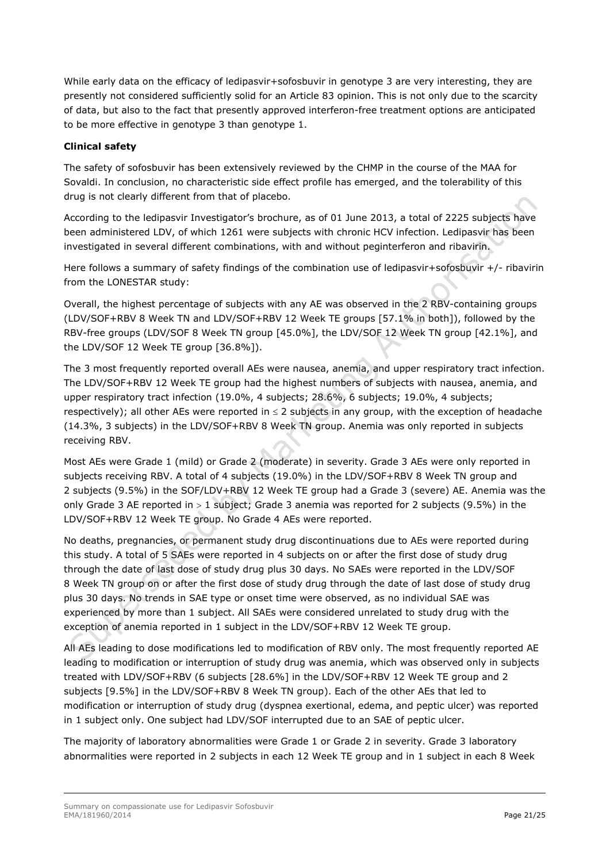While early data on the efficacy of ledipasvir+sofosbuvir in genotype 3 are very interesting, they are presently not considered sufficiently solid for an Article 83 opinion. This is not only due to the scarcity of data, but also to the fact that presently approved interferon-free treatment options are anticipated to be more effective in genotype 3 than genotype 1.

## **Clinical safety**

The safety of sofosbuvir has been extensively reviewed by the CHMP in the course of the MAA for Sovaldi. In conclusion, no characteristic side effect profile has emerged, and the tolerability of this drug is not clearly different from that of placebo.

According to the ledipasvir Investigator's brochure, as of 01 June 2013, a total of 2225 subjects have been administered LDV, of which 1261 were subjects with chronic HCV infection. Ledipasvir has been investigated in several different combinations, with and without peginterferon and ribavirin.

Here follows a summary of safety findings of the combination use of ledipasvir+sofosbuvir +/- ribavirin from the LONESTAR study:

Overall, the highest percentage of subjects with any AE was observed in the 2 RBV-containing groups (LDV/SOF+RBV 8 Week TN and LDV/SOF+RBV 12 Week TE groups [57.1% in both]), followed by the RBV-free groups (LDV/SOF 8 Week TN group [45.0%], the LDV/SOF 12 Week TN group [42.1%], and the LDV/SOF 12 Week TE group [36.8%]).

The 3 most frequently reported overall AEs were nausea, anemia, and upper respiratory tract infection. The LDV/SOF+RBV 12 Week TE group had the highest numbers of subjects with nausea, anemia, and upper respiratory tract infection (19.0%, 4 subjects; 28.6%, 6 subjects; 19.0%, 4 subjects; respectively); all other AEs were reported in  $\leq 2$  subjects in any group, with the exception of headache (14.3%, 3 subjects) in the LDV/SOF+RBV 8 Week TN group. Anemia was only reported in subjects receiving RBV.

Most AEs were Grade 1 (mild) or Grade 2 (moderate) in severity. Grade 3 AEs were only reported in subjects receiving RBV. A total of 4 subjects (19.0%) in the LDV/SOF+RBV 8 Week TN group and 2 subjects (9.5%) in the SOF/LDV+RBV 12 Week TE group had a Grade 3 (severe) AE. Anemia was the only Grade 3 AE reported in  $> 1$  subject; Grade 3 anemia was reported for 2 subjects (9.5%) in the LDV/SOF+RBV 12 Week TE group. No Grade 4 AEs were reported.

No deaths, pregnancies, or permanent study drug discontinuations due to AEs were reported during this study. A total of 5 SAEs were reported in 4 subjects on or after the first dose of study drug through the date of last dose of study drug plus 30 days. No SAEs were reported in the LDV/SOF 8 Week TN group on or after the first dose of study drug through the date of last dose of study drug plus 30 days. No trends in SAE type or onset time were observed, as no individual SAE was experienced by more than 1 subject. All SAEs were considered unrelated to study drug with the exception of anemia reported in 1 subject in the LDV/SOF+RBV 12 Week TE group.

All AEs leading to dose modifications led to modification of RBV only. The most frequently reported AE leading to modification or interruption of study drug was anemia, which was observed only in subjects treated with LDV/SOF+RBV (6 subjects [28.6%] in the LDV/SOF+RBV 12 Week TE group and 2 subjects [9.5%] in the LDV/SOF+RBV 8 Week TN group). Each of the other AEs that led to modification or interruption of study drug (dyspnea exertional, edema, and peptic ulcer) was reported in 1 subject only. One subject had LDV/SOF interrupted due to an SAE of peptic ulcer.

The majority of laboratory abnormalities were Grade 1 or Grade 2 in severity. Grade 3 laboratory abnormalities were reported in 2 subjects in each 12 Week TE group and in 1 subject in each 8 Week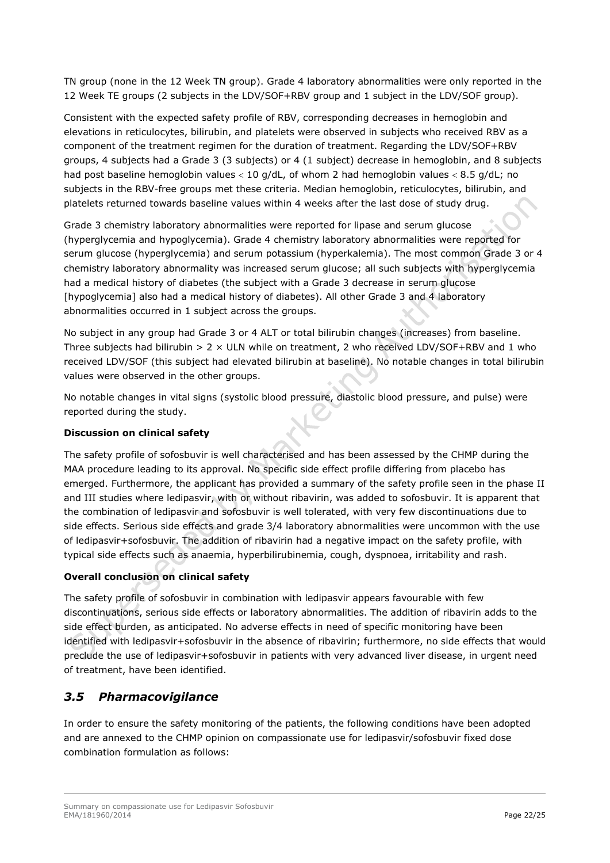TN group (none in the 12 Week TN group). Grade 4 laboratory abnormalities were only reported in the 12 Week TE groups (2 subjects in the LDV/SOF+RBV group and 1 subject in the LDV/SOF group).

Consistent with the expected safety profile of RBV, corresponding decreases in hemoglobin and elevations in reticulocytes, bilirubin, and platelets were observed in subjects who received RBV as a component of the treatment regimen for the duration of treatment. Regarding the LDV/SOF+RBV groups, 4 subjects had a Grade 3 (3 subjects) or 4 (1 subject) decrease in hemoglobin, and 8 subjects had post baseline hemoglobin values < 10 g/dL, of whom 2 had hemoglobin values < 8.5 g/dL; no subjects in the RBV-free groups met these criteria. Median hemoglobin, reticulocytes, bilirubin, and platelets returned towards baseline values within 4 weeks after the last dose of study drug.

Grade 3 chemistry laboratory abnormalities were reported for lipase and serum glucose (hyperglycemia and hypoglycemia). Grade 4 chemistry laboratory abnormalities were reported for serum glucose (hyperglycemia) and serum potassium (hyperkalemia). The most common Grade 3 or 4 chemistry laboratory abnormality was increased serum glucose; all such subjects with hyperglycemia had a medical history of diabetes (the subject with a Grade 3 decrease in serum glucose [hypoglycemia] also had a medical history of diabetes). All other Grade 3 and 4 laboratory abnormalities occurred in 1 subject across the groups.

No subject in any group had Grade 3 or 4 ALT or total bilirubin changes (increases) from baseline. Three subjects had bilirubin  $> 2 \times$  ULN while on treatment, 2 who received LDV/SOF+RBV and 1 who received LDV/SOF (this subject had elevated bilirubin at baseline). No notable changes in total bilirubin values were observed in the other groups.

No notable changes in vital signs (systolic blood pressure, diastolic blood pressure, and pulse) were reported during the study.

## **Discussion on clinical safety**

The safety profile of sofosbuvir is well characterised and has been assessed by the CHMP during the MAA procedure leading to its approval. No specific side effect profile differing from placebo has emerged. Furthermore, the applicant has provided a summary of the safety profile seen in the phase II and III studies where ledipasvir, with or without ribavirin, was added to sofosbuvir. It is apparent that the combination of ledipasvir and sofosbuvir is well tolerated, with very few discontinuations due to side effects. Serious side effects and grade 3/4 laboratory abnormalities were uncommon with the use of ledipasvir+sofosbuvir. The addition of ribavirin had a negative impact on the safety profile, with typical side effects such as anaemia, hyperbilirubinemia, cough, dyspnoea, irritability and rash.

## **Overall conclusion on clinical safety**

The safety profile of sofosbuvir in combination with ledipasvir appears favourable with few discontinuations, serious side effects or laboratory abnormalities. The addition of ribavirin adds to the side effect burden, as anticipated. No adverse effects in need of specific monitoring have been identified with ledipasvir+sofosbuvir in the absence of ribavirin; furthermore, no side effects that would preclude the use of ledipasvir+sofosbuvir in patients with very advanced liver disease, in urgent need of treatment, have been identified.

## <span id="page-21-0"></span>*3.5 Pharmacovigilance*

In order to ensure the safety monitoring of the patients, the following conditions have been adopted and are annexed to the CHMP opinion on compassionate use for ledipasvir/sofosbuvir fixed dose combination formulation as follows: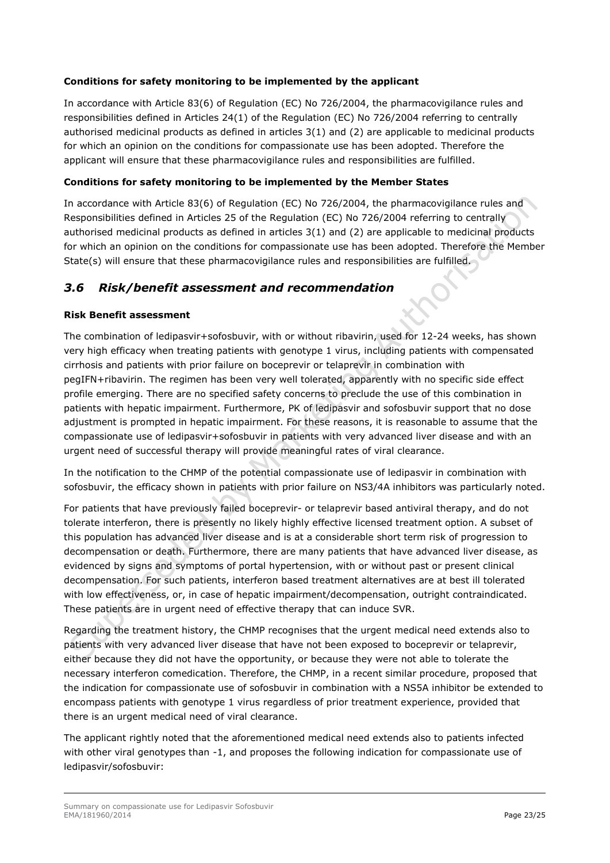## **Conditions for safety monitoring to be implemented by the applicant**

In accordance with Article 83(6) of Regulation (EC) No 726/2004, the pharmacovigilance rules and responsibilities defined in Articles 24(1) of the Regulation (EC) No 726/2004 referring to centrally authorised medicinal products as defined in articles 3(1) and (2) are applicable to medicinal products for which an opinion on the conditions for compassionate use has been adopted. Therefore the applicant will ensure that these pharmacovigilance rules and responsibilities are fulfilled.

## **Conditions for safety monitoring to be implemented by the Member States**

In accordance with Article 83(6) of Regulation (EC) No 726/2004, the pharmacovigilance rules and Responsibilities defined in Articles 25 of the Regulation (EC) No 726/2004 referring to centrally authorised medicinal products as defined in articles 3(1) and (2) are applicable to medicinal products for which an opinion on the conditions for compassionate use has been adopted. Therefore the Member State(s) will ensure that these pharmacovigilance rules and responsibilities are fulfilled.

## <span id="page-22-0"></span>*3.6 Risk/benefit assessment and recommendation*

## **Risk Benefit assessment**

The combination of ledipasvir+sofosbuvir, with or without ribavirin, used for 12-24 weeks, has shown very high efficacy when treating patients with genotype 1 virus, including patients with compensated cirrhosis and patients with prior failure on boceprevir or telaprevir in combination with pegIFN+ribavirin. The regimen has been very well tolerated, apparently with no specific side effect profile emerging. There are no specified safety concerns to preclude the use of this combination in patients with hepatic impairment. Furthermore, PK of ledipasvir and sofosbuvir support that no dose adjustment is prompted in hepatic impairment. For these reasons, it is reasonable to assume that the compassionate use of ledipasvir+sofosbuvir in patients with very advanced liver disease and with an urgent need of successful therapy will provide meaningful rates of viral clearance.

In the notification to the CHMP of the potential compassionate use of ledipasvir in combination with sofosbuvir, the efficacy shown in patients with prior failure on NS3/4A inhibitors was particularly noted.

For patients that have previously failed boceprevir- or telaprevir based antiviral therapy, and do not tolerate interferon, there is presently no likely highly effective licensed treatment option. A subset of this population has advanced liver disease and is at a considerable short term risk of progression to decompensation or death. Furthermore, there are many patients that have advanced liver disease, as evidenced by signs and symptoms of portal hypertension, with or without past or present clinical decompensation. For such patients, interferon based treatment alternatives are at best ill tolerated with low effectiveness, or, in case of hepatic impairment/decompensation, outright contraindicated. These patients are in urgent need of effective therapy that can induce SVR.

Regarding the treatment history, the CHMP recognises that the urgent medical need extends also to patients with very advanced liver disease that have not been exposed to boceprevir or telaprevir, either because they did not have the opportunity, or because they were not able to tolerate the necessary interferon comedication. Therefore, the CHMP, in a recent similar procedure, proposed that the indication for compassionate use of sofosbuvir in combination with a NS5A inhibitor be extended to encompass patients with genotype 1 virus regardless of prior treatment experience, provided that there is an urgent medical need of viral clearance.

The applicant rightly noted that the aforementioned medical need extends also to patients infected with other viral genotypes than -1, and proposes the following indication for compassionate use of ledipasvir/sofosbuvir: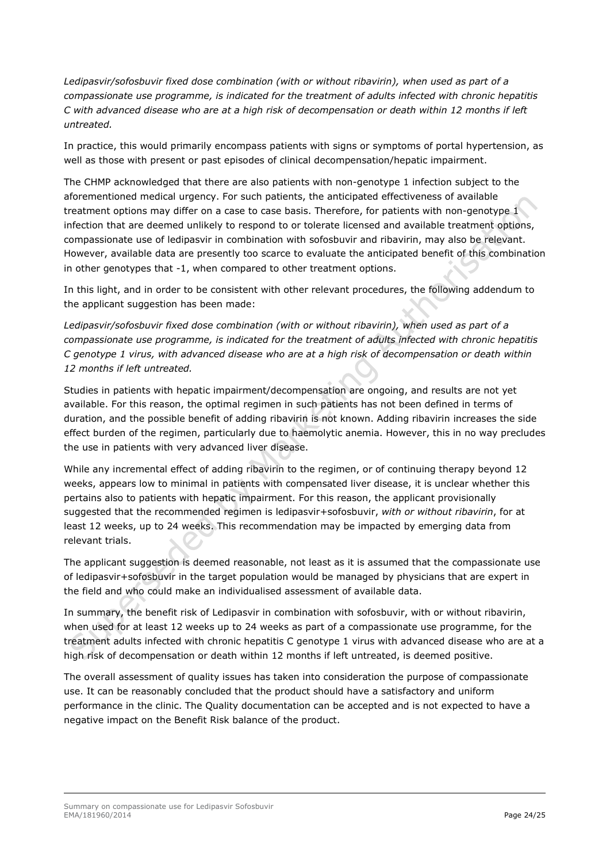*Ledipasvir/sofosbuvir fixed dose combination (with or without ribavirin), when used as part of a compassionate use programme, is indicated for the treatment of adults infected with chronic hepatitis C with advanced disease who are at a high risk of decompensation or death within 12 months if left untreated.*

In practice, this would primarily encompass patients with signs or symptoms of portal hypertension, as well as those with present or past episodes of clinical decompensation/hepatic impairment.

The CHMP acknowledged that there are also patients with non-genotype 1 infection subject to the aforementioned medical urgency. For such patients, the anticipated effectiveness of available treatment options may differ on a case to case basis. Therefore, for patients with non-genotype 1 infection that are deemed unlikely to respond to or tolerate licensed and available treatment options, compassionate use of ledipasvir in combination with sofosbuvir and ribavirin, may also be relevant. However, available data are presently too scarce to evaluate the anticipated benefit of this combination in other genotypes that -1, when compared to other treatment options.

In this light, and in order to be consistent with other relevant procedures, the following addendum to the applicant suggestion has been made:

*Ledipasvir/sofosbuvir fixed dose combination (with or without ribavirin), when used as part of a compassionate use programme, is indicated for the treatment of adults infected with chronic hepatitis C genotype 1 virus, with advanced disease who are at a high risk of decompensation or death within 12 months if left untreated.*

Studies in patients with hepatic impairment/decompensation are ongoing, and results are not yet available. For this reason, the optimal regimen in such patients has not been defined in terms of duration, and the possible benefit of adding ribavirin is not known. Adding ribavirin increases the side effect burden of the regimen, particularly due to haemolytic anemia. However, this in no way precludes the use in patients with very advanced liver disease.

While any incremental effect of adding ribavirin to the regimen, or of continuing therapy beyond 12 weeks, appears low to minimal in patients with compensated liver disease, it is unclear whether this pertains also to patients with hepatic impairment. For this reason, the applicant provisionally suggested that the recommended regimen is ledipasvir+sofosbuvir, *with or without ribavirin*, for at least 12 weeks, up to 24 weeks. This recommendation may be impacted by emerging data from relevant trials.

The applicant suggestion is deemed reasonable, not least as it is assumed that the compassionate use of ledipasvir+sofosbuvir in the target population would be managed by physicians that are expert in the field and who could make an individualised assessment of available data.

In summary, the benefit risk of Ledipasvir in combination with sofosbuvir, with or without ribavirin, when used for at least 12 weeks up to 24 weeks as part of a compassionate use programme, for the treatment adults infected with chronic hepatitis C genotype 1 virus with advanced disease who are at a high risk of decompensation or death within 12 months if left untreated, is deemed positive.

The overall assessment of quality issues has taken into consideration the purpose of compassionate use. It can be reasonably concluded that the product should have a satisfactory and uniform performance in the clinic. The Quality documentation can be accepted and is not expected to have a negative impact on the Benefit Risk balance of the product.